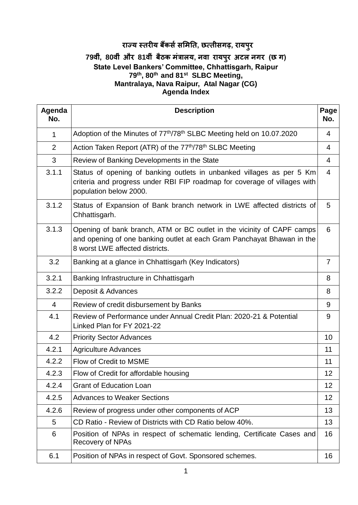# **राज्य स्तरीय बैंकर्सर्मितत, छत्तीर्गढ़, रायपुर**

### **79वीीं, 80वीीं और 81वीीं बैठक िींत्रालय, नवा रायपरु अटल नगर (छ ग) State Level Bankers' Committee, Chhattisgarh, Raipur 79th , 80th and 81st SLBC Meeting, Mantralaya, Nava Raipur, Atal Nagar (CG) Agenda Index**

| Agenda<br>No. | <b>Description</b>                                                                                                                                                                  | Page<br>No.    |
|---------------|-------------------------------------------------------------------------------------------------------------------------------------------------------------------------------------|----------------|
| 1             | Adoption of the Minutes of 77 <sup>th</sup> /78 <sup>th</sup> SLBC Meeting held on 10.07.2020                                                                                       | 4              |
| 2             | Action Taken Report (ATR) of the 77 <sup>th</sup> /78 <sup>th</sup> SLBC Meeting                                                                                                    | $\overline{4}$ |
| 3             | Review of Banking Developments in the State                                                                                                                                         | 4              |
| 3.1.1         | Status of opening of banking outlets in unbanked villages as per 5 Km<br>criteria and progress under RBI FIP roadmap for coverage of villages with<br>population below 2000.        | $\overline{4}$ |
| 3.1.2         | Status of Expansion of Bank branch network in LWE affected districts of<br>Chhattisgarh.                                                                                            | 5              |
| 3.1.3         | Opening of bank branch, ATM or BC outlet in the vicinity of CAPF camps<br>and opening of one banking outlet at each Gram Panchayat Bhawan in the<br>8 worst LWE affected districts. | 6              |
| 3.2           | Banking at a glance in Chhattisgarh (Key Indicators)                                                                                                                                | $\overline{7}$ |
| 3.2.1         | Banking Infrastructure in Chhattisgarh                                                                                                                                              | 8              |
| 3.2.2         | Deposit & Advances                                                                                                                                                                  | 8              |
| 4             | Review of credit disbursement by Banks                                                                                                                                              | 9              |
| 4.1           | Review of Performance under Annual Credit Plan: 2020-21 & Potential<br>Linked Plan for FY 2021-22                                                                                   | 9              |
| 4.2           | <b>Priority Sector Advances</b>                                                                                                                                                     | 10             |
| 4.2.1         | <b>Agriculture Advances</b>                                                                                                                                                         | 11             |
| 4.2.2         | Flow of Credit to MSME                                                                                                                                                              | 11             |
| 4.2.3         | Flow of Credit for affordable housing                                                                                                                                               | 12             |
| 4.2.4         | <b>Grant of Education Loan</b>                                                                                                                                                      | 12             |
| 4.2.5         | <b>Advances to Weaker Sections</b>                                                                                                                                                  | 12             |
| 4.2.6         | Review of progress under other components of ACP                                                                                                                                    | 13             |
| 5             | CD Ratio - Review of Districts with CD Ratio below 40%.                                                                                                                             | 13             |
| 6             | Position of NPAs in respect of schematic lending, Certificate Cases and<br><b>Recovery of NPAs</b>                                                                                  | 16             |
| 6.1           | Position of NPAs in respect of Govt. Sponsored schemes.                                                                                                                             | 16             |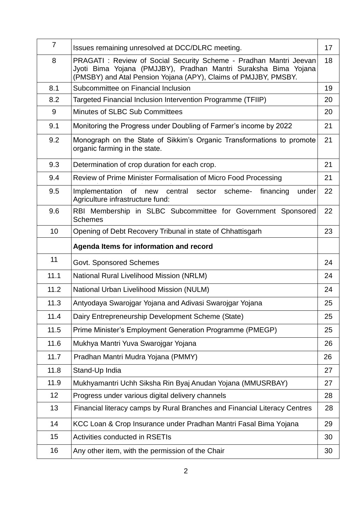| 7    | Issues remaining unresolved at DCC/DLRC meeting.                                                                                                                                                        | 17 |  |  |  |  |  |
|------|---------------------------------------------------------------------------------------------------------------------------------------------------------------------------------------------------------|----|--|--|--|--|--|
| 8    | PRAGATI: Review of Social Security Scheme - Pradhan Mantri Jeevan<br>Jyoti Bima Yojana (PMJJBY), Pradhan Mantri Suraksha Bima Yojana<br>(PMSBY) and Atal Pension Yojana (APY), Claims of PMJJBY, PMSBY. | 18 |  |  |  |  |  |
| 8.1  | Subcommittee on Financial Inclusion                                                                                                                                                                     | 19 |  |  |  |  |  |
| 8.2  | Targeted Financial Inclusion Intervention Programme (TFIIP)                                                                                                                                             | 20 |  |  |  |  |  |
| 9    | Minutes of SLBC Sub Committees                                                                                                                                                                          | 20 |  |  |  |  |  |
| 9.1  | Monitoring the Progress under Doubling of Farmer's income by 2022                                                                                                                                       | 21 |  |  |  |  |  |
| 9.2  | 21<br>Monograph on the State of Sikkim's Organic Transformations to promote<br>organic farming in the state.                                                                                            |    |  |  |  |  |  |
| 9.3  | Determination of crop duration for each crop.                                                                                                                                                           | 21 |  |  |  |  |  |
| 9.4  | Review of Prime Minister Formalisation of Micro Food Processing                                                                                                                                         | 21 |  |  |  |  |  |
| 9.5  | Implementation<br>central<br>of new<br>sector<br>scheme-<br>financing<br>under<br>Agriculture infrastructure fund:                                                                                      | 22 |  |  |  |  |  |
| 9.6  | RBI Membership in SLBC Subcommittee for Government Sponsored<br><b>Schemes</b>                                                                                                                          | 22 |  |  |  |  |  |
| 10   | Opening of Debt Recovery Tribunal in state of Chhattisgarh                                                                                                                                              | 23 |  |  |  |  |  |
|      | Agenda Items for information and record                                                                                                                                                                 |    |  |  |  |  |  |
| 11   | Govt. Sponsored Schemes                                                                                                                                                                                 | 24 |  |  |  |  |  |
| 11.1 | <b>National Rural Livelihood Mission (NRLM)</b>                                                                                                                                                         | 24 |  |  |  |  |  |
| 11.2 | National Urban Livelihood Mission (NULM)                                                                                                                                                                | 24 |  |  |  |  |  |
| 11.3 | Antyodaya Swarojgar Yojana and Adivasi Swarojgar Yojana                                                                                                                                                 | 25 |  |  |  |  |  |
| 11.4 | Dairy Entrepreneurship Development Scheme (State)                                                                                                                                                       | 25 |  |  |  |  |  |
| 11.5 | Prime Minister's Employment Generation Programme (PMEGP)                                                                                                                                                | 25 |  |  |  |  |  |
| 11.6 | Mukhya Mantri Yuva Swarojgar Yojana                                                                                                                                                                     | 26 |  |  |  |  |  |
| 11.7 | Pradhan Mantri Mudra Yojana (PMMY)                                                                                                                                                                      | 26 |  |  |  |  |  |
| 11.8 | Stand-Up India                                                                                                                                                                                          | 27 |  |  |  |  |  |
| 11.9 | Mukhyamantri Uchh Siksha Rin Byaj Anudan Yojana (MMUSRBAY)                                                                                                                                              | 27 |  |  |  |  |  |
| 12   | Progress under various digital delivery channels                                                                                                                                                        | 28 |  |  |  |  |  |
| 13   | Financial literacy camps by Rural Branches and Financial Literacy Centres                                                                                                                               | 28 |  |  |  |  |  |
| 14   | KCC Loan & Crop Insurance under Pradhan Mantri Fasal Bima Yojana                                                                                                                                        | 29 |  |  |  |  |  |
| 15   | <b>Activities conducted in RSETIs</b>                                                                                                                                                                   | 30 |  |  |  |  |  |
| 16   | Any other item, with the permission of the Chair                                                                                                                                                        |    |  |  |  |  |  |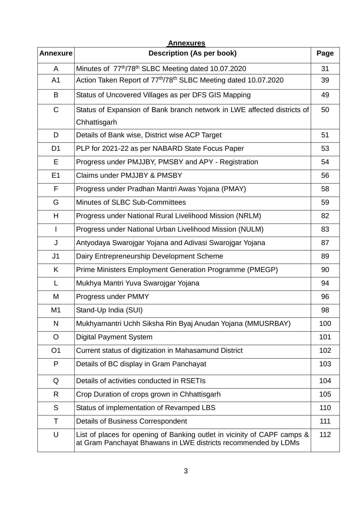| <b>Annexures</b> |                                                                                                                                            |      |  |  |  |  |
|------------------|--------------------------------------------------------------------------------------------------------------------------------------------|------|--|--|--|--|
| <b>Annexure</b>  | <b>Description (As per book)</b>                                                                                                           | Page |  |  |  |  |
| A                | Minutes of 77 <sup>th</sup> /78 <sup>th</sup> SLBC Meeting dated 10.07.2020                                                                | 31   |  |  |  |  |
| A <sub>1</sub>   | Action Taken Report of 77 <sup>th</sup> /78 <sup>th</sup> SLBC Meeting dated 10.07.2020                                                    | 39   |  |  |  |  |
| B                | Status of Uncovered Villages as per DFS GIS Mapping                                                                                        | 49   |  |  |  |  |
| $\mathsf C$      | Status of Expansion of Bank branch network in LWE affected districts of<br>Chhattisgarh                                                    | 50   |  |  |  |  |
| D                | Details of Bank wise, District wise ACP Target                                                                                             | 51   |  |  |  |  |
| D <sub>1</sub>   | PLP for 2021-22 as per NABARD State Focus Paper                                                                                            | 53   |  |  |  |  |
| Е                | Progress under PMJJBY, PMSBY and APY - Registration                                                                                        | 54   |  |  |  |  |
| E <sub>1</sub>   | Claims under PMJJBY & PMSBY                                                                                                                | 56   |  |  |  |  |
| F                | Progress under Pradhan Mantri Awas Yojana (PMAY)                                                                                           | 58   |  |  |  |  |
| G                | Minutes of SLBC Sub-Committees                                                                                                             | 59   |  |  |  |  |
| H                | Progress under National Rural Livelihood Mission (NRLM)                                                                                    | 82   |  |  |  |  |
| $\overline{1}$   | Progress under National Urban Livelihood Mission (NULM)                                                                                    | 83   |  |  |  |  |
| J                | Antyodaya Swarojgar Yojana and Adivasi Swarojgar Yojana                                                                                    | 87   |  |  |  |  |
| J <sub>1</sub>   | Dairy Entrepreneurship Development Scheme                                                                                                  | 89   |  |  |  |  |
| K                | Prime Ministers Employment Generation Programme (PMEGP)                                                                                    | 90   |  |  |  |  |
| L                | Mukhya Mantri Yuva Swarojgar Yojana                                                                                                        | 94   |  |  |  |  |
| M                | Progress under PMMY                                                                                                                        | 96   |  |  |  |  |
| M <sub>1</sub>   | Stand-Up India (SUI)                                                                                                                       | 98   |  |  |  |  |
| N                | Mukhyamantri Uchh Siksha Rin Byaj Anudan Yojana (MMUSRBAY)                                                                                 | 100  |  |  |  |  |
| O                | <b>Digital Payment System</b>                                                                                                              | 101  |  |  |  |  |
| O <sub>1</sub>   | Current status of digitization in Mahasamund District                                                                                      | 102  |  |  |  |  |
| P                | Details of BC display in Gram Panchayat                                                                                                    | 103  |  |  |  |  |
| Q                | Details of activities conducted in RSETIs                                                                                                  | 104  |  |  |  |  |
| R                | Crop Duration of crops grown in Chhattisgarh                                                                                               | 105  |  |  |  |  |
| S                | Status of implementation of Revamped LBS                                                                                                   | 110  |  |  |  |  |
| Τ                | <b>Details of Business Correspondent</b>                                                                                                   | 111  |  |  |  |  |
| U                | List of places for opening of Banking outlet in vicinity of CAPF camps &<br>at Gram Panchayat Bhawans in LWE districts recommended by LDMs | 112  |  |  |  |  |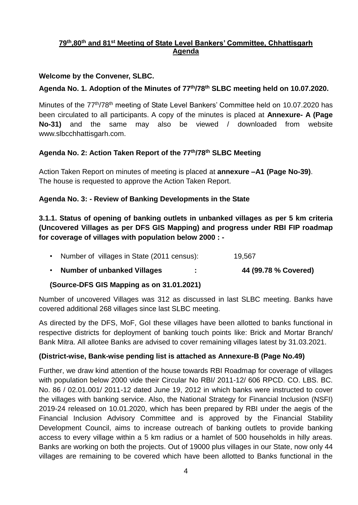# **79th,80 th and 81 st Meeting of State Level Bankers' Committee, Chhattisgarh Agenda**

### **Welcome by the Convener, SLBC.**

#### **Agenda No. 1. Adoption of the Minutes of 77 th/78 th SLBC meeting held on 10.07.2020.**

Minutes of the 77<sup>th</sup>/78<sup>th</sup> meeting of State Level Bankers' Committee held on 10.07.2020 has been circulated to all participants. A copy of the minutes is placed at **Annexure- A (Page No-31)** and the same may also be viewed / downloaded from website www.slbcchhattisgarh.com.

#### **Agenda No. 2: Action Taken Report of the 77 th/78th SLBC Meeting**

Action Taken Report on minutes of meeting is placed at **annexure –A1 (Page No-39)**. The house is requested to approve the Action Taken Report.

#### **Agenda No. 3: - Review of Banking Developments in the State**

**3.1.1. Status of opening of banking outlets in unbanked villages as per 5 km criteria (Uncovered Villages as per DFS GIS Mapping) and progress under RBI FIP roadmap for coverage of villages with population below 2000 : -**

|  |  | Number of villages in State (2011 census): |  |  | 19,567 |
|--|--|--------------------------------------------|--|--|--------|
|--|--|--------------------------------------------|--|--|--------|

• **Number of unbanked Villages : 44 (99.78 % Covered)**

### **(Source-DFS GIS Mapping as on 31.01.2021)**

Number of uncovered Villages was 312 as discussed in last SLBC meeting. Banks have covered additional 268 villages since last SLBC meeting.

As directed by the DFS, MoF, GoI these villages have been allotted to banks functional in respective districts for deployment of banking touch points like: Brick and Mortar Branch/ Bank Mitra. All allotee Banks are advised to cover remaining villages latest by 31.03.2021.

### **(District-wise, Bank-wise pending list is attached as Annexure-B (Page No.49)**

Further, we draw kind attention of the house towards RBI Roadmap for coverage of villages with population below 2000 vide their Circular No RBI/ 2011-12/ 606 RPCD. CO. LBS. BC. No. 86 / 02.01.001/ 2011-12 dated June 19, 2012 in which banks were instructed to cover the villages with banking service. Also, the National Strategy for Financial Inclusion (NSFI) 2019-24 released on 10.01.2020, which has been prepared by RBI under the aegis of the Financial Inclusion Advisory Committee and is approved by the Financial Stability Development Council, aims to increase outreach of banking outlets to provide banking access to every village within a 5 km radius or a hamlet of 500 households in hilly areas. Banks are working on both the projects. Out of 19000 plus villages in our State, now only 44 villages are remaining to be covered which have been allotted to Banks functional in the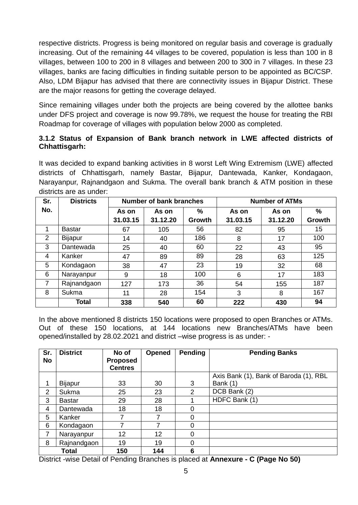respective districts. Progress is being monitored on regular basis and coverage is gradually increasing. Out of the remaining 44 villages to be covered, population is less than 100 in 8 villages, between 100 to 200 in 8 villages and between 200 to 300 in 7 villages. In these 23 villages, banks are facing difficulties in finding suitable person to be appointed as BC/CSP. Also, LDM Bijapur has advised that there are connectivity issues in Bijapur District. These are the major reasons for getting the coverage delayed.

Since remaining villages under both the projects are being covered by the allottee banks under DFS project and coverage is now 99.78%, we request the house for treating the RBI Roadmap for coverage of villages with population below 2000 as completed.

### **3.1.2 Status of Expansion of Bank branch network in LWE affected districts of Chhattisgarh:**

It was decided to expand banking activities in 8 worst Left Wing Extremism (LWE) affected districts of Chhattisgarh, namely Bastar, Bijapur, Dantewada, Kanker, Kondagaon, Narayanpur, Rajnandgaon and Sukma. The overall bank branch & ATM position in these districts are as under:

| Sr. | <b>Districts</b> | Number of bank branches |          |        |          | <b>Number of ATMs</b> |               |  |
|-----|------------------|-------------------------|----------|--------|----------|-----------------------|---------------|--|
| No. |                  | As on                   | As on    | $\%$   | As on    | As on                 | $\frac{0}{0}$ |  |
|     |                  | 31.03.15                | 31.12.20 | Growth | 31.03.15 | 31.12.20              | Growth        |  |
| 1   | <b>Bastar</b>    | 67                      | 105      | 56     | 82       | 95                    | 15            |  |
| 2   | <b>Bijapur</b>   | 14                      | 40       | 186    | 8        | 17                    | 100           |  |
| 3   | Dantewada        | 25                      | 40       | 60     | 22       | 43                    | 95            |  |
| 4   | Kanker           | 47                      | 89       | 89     | 28       | 63                    | 125           |  |
| 5   | Kondagaon        | 38                      | 47       | 23     | 19       | 32                    | 68            |  |
| 6   | Narayanpur       | 9                       | 18       | 100    | 6        | 17                    | 183           |  |
|     | Rajnandgaon      | 127                     | 173      | 36     | 54       | 155                   | 187           |  |
| 8   | Sukma            | 11                      | 28       | 154    | 3        | 8                     | 167           |  |
|     | Total            | 338                     | 540      | 60     | 222      | 430                   | 94            |  |

In the above mentioned 8 districts 150 locations were proposed to open Branches or ATMs. Out of these 150 locations, at 144 locations new Branches/ATMs have been opened/installed by 28.02.2021 and district –wise progress is as under: -

| Sr.            | <b>District</b> | No of                             | Opened | Pending        | <b>Pending Banks</b>                   |
|----------------|-----------------|-----------------------------------|--------|----------------|----------------------------------------|
| <b>No</b>      |                 | <b>Proposed</b><br><b>Centres</b> |        |                |                                        |
|                |                 |                                   |        |                |                                        |
|                |                 |                                   |        |                | Axis Bank (1), Bank of Baroda (1), RBL |
| 1              | Bijapur         | 33                                | 30     | 3              | Bank (1)                               |
| $\overline{2}$ | Sukma           | 25                                | 23     | $\overline{2}$ | DCB Bank (2)                           |
| 3              | <b>Bastar</b>   | 29                                | 28     |                | HDFC Bank (1)                          |
| 4              | Dantewada       | 18                                | 18     | $\overline{0}$ |                                        |
| 5              | Kanker          |                                   | 7      | $\overline{0}$ |                                        |
| 6              | Kondagaon       |                                   | 7      | $\overline{0}$ |                                        |
| 7              | Narayanpur      | 12                                | 12     | 0              |                                        |
| 8              | Rajnandgaon     | 19                                | 19     | $\Omega$       |                                        |
|                | <b>Total</b>    | 150                               | 144    | 6              |                                        |

District -wise Detail of Pending Branches is placed at **Annexure - C (Page No 50)**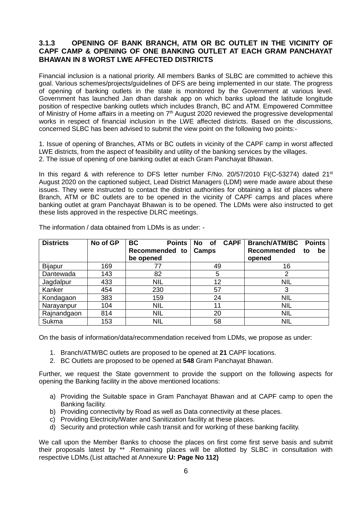#### **3.1.3 OPENING OF BANK BRANCH, ATM OR BC OUTLET IN THE VICINITY OF CAPF CAMP & OPENING OF ONE BANKING OUTLET AT EACH GRAM PANCHAYAT BHAWAN IN 8 WORST LWE AFFECTED DISTRICTS**

Financial inclusion is a national priority. All members Banks of SLBC are committed to achieve this goal. Various schemes/projects/guidelines of DFS are being implemented in our state. The progress of opening of banking outlets in the state is monitored by the Government at various level. Government has launched Jan dhan darshak app on which banks upload the latitude longitude position of respective banking outlets which includes Branch, BC and ATM. Empowered Committee of Ministry of Home affairs in a meeting on 7<sup>th</sup> August 2020 reviewed the progressive developmental works in respect of financial inclusion in the LWE affected districts. Based on the discussions, concerned SLBC has been advised to submit the view point on the following two points:-

1. Issue of opening of Branches, ATMs or BC outlets in vicinity of the CAPF camp in worst affected LWE districts, from the aspect of feasibility and utility of the banking services by the villages. 2. The issue of opening of one banking outlet at each Gram Panchayat Bhawan.

In this regard & with reference to DFS letter number F/No. 20/57/2010 FI(C-53274) dated 21<sup>st</sup> August 2020 on the captioned subject, Lead District Managers (LDM) were made aware about these issues. They were instructed to contact the district authorities for obtaining a list of places where Branch, ATM or BC outlets are to be opened in the vicinity of CAPF camps and places where banking outlet at gram Panchayat Bhawan is to be opened. The LDMs were also instructed to get these lists approved in the respective DLRC meetings.

| <b>Districts</b> | No of GP | <b>BC</b><br><b>Points</b>  | <b>CAPF</b><br>No of | <b>Branch/ATM/BC</b><br><b>Points</b>    |
|------------------|----------|-----------------------------|----------------------|------------------------------------------|
|                  |          | Recommended to<br>be opened | <b>Camps</b>         | <b>Recommended</b><br>be<br>to<br>opened |
| <b>Bijapur</b>   | 169      | 77                          | 49                   | 16                                       |
| Dantewada        | 143      | 82                          | 5                    | 2                                        |
| Jagdalpur        | 433      | <b>NIL</b>                  | 12                   | <b>NIL</b>                               |
| Kanker           | 454      | 230                         | 57                   | 3                                        |
| Kondagaon        | 383      | 159                         | 24                   | <b>NIL</b>                               |
| Narayanpur       | 104      | <b>NIL</b>                  | 11                   | <b>NIL</b>                               |
| Rajnandgaon      | 814      | <b>NIL</b>                  | 20                   | <b>NIL</b>                               |
| Sukma            | 153      | <b>NIL</b>                  | 58                   | <b>NIL</b>                               |

The information / data obtained from LDMs is as under: -

On the basis of information/data/recommendation received from LDMs, we propose as under:

- 1. Branch/ATM/BC outlets are proposed to be opened at **21** CAPF locations.
- 2. BC Outlets are proposed to be opened at **548** Gram Panchayat Bhawan.

Further, we request the State government to provide the support on the following aspects for opening the Banking facility in the above mentioned locations:

- a) Providing the Suitable space in Gram Panchayat Bhawan and at CAPF camp to open the Banking facility.
- b) Providing connectivity by Road as well as Data connectivity at these places.
- c) Providing Electricity/Water and Sanitization facility at these places.
- d) Security and protection while cash transit and for working of these banking facility.

We call upon the Member Banks to choose the places on first come first serve basis and submit their proposals latest by \*\* .Remaining places will be allotted by SLBC in consultation with respective LDMs.(List attached at Annexure **U: Page No 112)**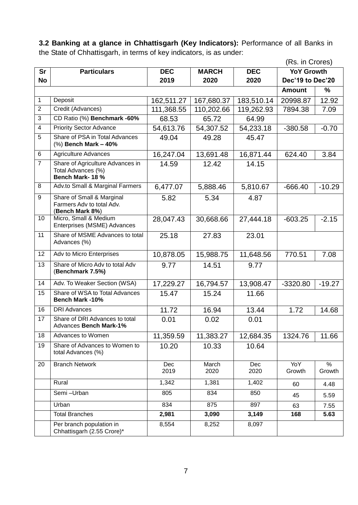**3.2 Banking at a glance in Chhattisgarh (Key Indicators):** Performance of all Banks in the State of Chhattisgarh, in terms of key indicators, is as under:

|                |                                                                           |             |               |             | (Rs. in Crores)   |                |
|----------------|---------------------------------------------------------------------------|-------------|---------------|-------------|-------------------|----------------|
| <b>Sr</b>      | <b>Particulars</b>                                                        | <b>DEC</b>  | <b>MARCH</b>  | <b>DEC</b>  | <b>YoY Growth</b> |                |
| <b>No</b>      |                                                                           | 2019        | 2020          | 2020        | Dec'19 to Dec'20  |                |
|                |                                                                           |             |               |             | <b>Amount</b>     | $\%$           |
| $\mathbf{1}$   | Deposit                                                                   | 162,511.27  | 167,680.37    | 183,510.14  | 20998.87          | 12.92          |
| $\overline{2}$ | Credit (Advances)                                                         | 111,368.55  | 110,202.66    | 119,262.93  | 7894.38           | 7.09           |
| 3              | CD Ratio (%) Benchmark -60%                                               | 68.53       | 65.72         | 64.99       |                   |                |
| 4              | <b>Priority Sector Advance</b>                                            | 54,613.76   | 54,307.52     | 54,233.18   | $-380.58$         | $-0.70$        |
| 5              | Share of PSA in Total Advances<br>(%) Bench Mark - 40%                    | 49.04       | 49.28         | 45.47       |                   |                |
| 6              | <b>Agriculture Advances</b>                                               | 16,247.04   | 13,691.48     | 16,871.44   | 624.40            | 3.84           |
| $\overline{7}$ | Share of Agriculture Advances in<br>Total Advances (%)<br>Bench Mark-18%  | 14.59       | 12.42         | 14.15       |                   |                |
| 8              | Adv.to Small & Marginal Farmers                                           | 6,477.07    | 5,888.46      | 5,810.67    | $-666.40$         | $-10.29$       |
| 9              | Share of Small & Marginal<br>Farmers Adv to total Adv.<br>(Bench Mark 8%) | 5.82        | 5.34          | 4.87        |                   |                |
| 10             | Micro, Small & Medium<br>Enterprises (MSME) Advances                      | 28,047.43   | 30,668.66     | 27,444.18   | $-603.25$         | $-2.15$        |
| 11             | Share of MSME Advances to total<br>Advances (%)                           | 25.18       | 27.83         | 23.01       |                   |                |
| 12             | Adv to Micro Enterprises                                                  | 10,878.05   | 15,988.75     | 11,648.56   | 770.51            | 7.08           |
| 13             | Share of Micro Adv to total Adv<br>(Benchmark 7.5%)                       | 9.77        | 14.51         | 9.77        |                   |                |
| 14             | Adv. To Weaker Section (WSA)                                              | 17,229.27   | 16,794.57     | 13,908.47   | $-3320.80$        | $-19.27$       |
| 15             | Share of WSA to Total Advances<br><b>Bench Mark-10%</b>                   | 15.47       | 15.24         | 11.66       |                   |                |
| 16             | <b>DRI Advances</b>                                                       | 11.72       | 16.94         | 13.44       | 1.72              | 14.68          |
| 17             | Share of DRI Advances to total<br>Advances Bench Mark-1%                  | 0.01        | 0.02          | 0.01        |                   |                |
| 18             | Advances to Women                                                         | 11,359.59   | 11,383.27     | 12,684.35   | 1324.76           | 11.66          |
| 19             | Share of Advances to Women to<br>total Advances (%)                       | 10.20       | 10.33         | 10.64       |                   |                |
| 20             | <b>Branch Network</b>                                                     | Dec<br>2019 | March<br>2020 | Dec<br>2020 | YoY<br>Growth     | $\%$<br>Growth |
|                | Rural                                                                     | 1,342       | 1,381         | 1,402       | 60                | 4.48           |
|                | Semi-Urban                                                                | 805         | 834           | 850         | 45                | 5.59           |
|                | Urban                                                                     | 834         | 875           | 897         | 63                | 7.55           |
|                | <b>Total Branches</b>                                                     | 2,981       | 3,090         | 3,149       | 168               | 5.63           |
|                | Per branch population in<br>Chhattisgarh (2.55 Crore)*                    | 8,554       | 8,252         | 8,097       |                   |                |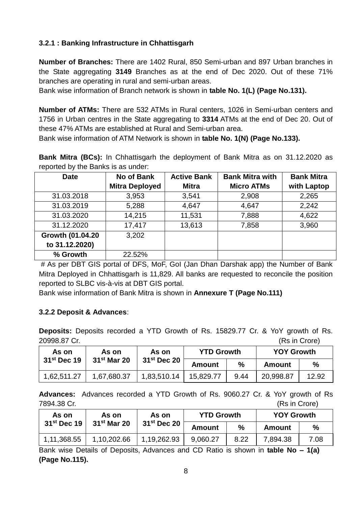# **3.2.1 : Banking Infrastructure in Chhattisgarh**

**Number of Branches:** There are 1402 Rural, 850 Semi-urban and 897 Urban branches in the State aggregating **3149** Branches as at the end of Dec 2020. Out of these 71% branches are operating in rural and semi-urban areas.

Bank wise information of Branch network is shown in **table No. 1(L) (Page No.131).**

**Number of ATMs:** There are 532 ATMs in Rural centers, 1026 in Semi-urban centers and 1756 in Urban centres in the State aggregating to **3314** ATMs at the end of Dec 20. Out of these 47% ATMs are established at Rural and Semi-urban area.

Bank wise information of ATM Network is shown in **table No. 1(N) (Page No.133).**

**Bank Mitra (BCs):** In Chhattisgarh the deployment of Bank Mitra as on 31.12.2020 as reported by the Banks is as under:

| <b>Date</b>      | <b>No of Bank</b>     | <b>Active Bank</b> | <b>Bank Mitra with</b> | <b>Bank Mitra</b> |
|------------------|-----------------------|--------------------|------------------------|-------------------|
|                  | <b>Mitra Deployed</b> | <b>Mitra</b>       | <b>Micro ATMs</b>      | with Laptop       |
| 31.03.2018       | 3,953                 | 3,541              | 2,908                  | 2,265             |
| 31.03.2019       | 5,288                 | 4,647              | 4,647                  | 2,242             |
| 31.03.2020       | 14,215                | 11,531             | 7,888                  | 4,622             |
| 31.12.2020       | 17,417                | 13,613             | 7,858                  | 3,960             |
| Growth (01.04.20 | 3,202                 |                    |                        |                   |
| to 31.12.2020)   |                       |                    |                        |                   |
| % Growth         | 22.52%                |                    |                        |                   |

# As per DBT GIS portal of DFS, MoF, GoI (Jan Dhan Darshak app) the Number of Bank Mitra Deployed in Chhattisgarh is 11,829. All banks are requested to reconcile the position reported to SLBC vis-à-vis at DBT GIS portal.

Bank wise information of Bank Mitra is shown in **Annexure T (Page No.111)**

### **3.2.2 Deposit & Advances**:

**Deposits:** Deposits recorded a YTD Growth of Rs. 15829.77 Cr. & YoY growth of Rs. 20998.87 Cr. (Rs in Crore)

| As on         | As on         | As on         | <b>YTD Growth</b> |               | <b>YOY Growth</b> |       |
|---------------|---------------|---------------|-------------------|---------------|-------------------|-------|
| $31st$ Dec 19 | $31st$ Mar 20 | $31st$ Dec 20 | Amount            | $\frac{9}{6}$ | Amount            | %     |
| 1,62,511.27   | 1,67,680.37   | 1,83,510.14   | 15,829.77         | 9.44          | 20,998.87         | 12.92 |

**Advances:** Advances recorded a YTD Growth of Rs. 9060.27 Cr. & YoY growth of Rs 7894.38 Cr. (Rs in Crore)

| As on         | As on         | As on                   | <b>YTD Growth</b> |      | <b>YOY Growth</b> |      |
|---------------|---------------|-------------------------|-------------------|------|-------------------|------|
| $31st$ Dec 19 | $31st$ Mar 20 | 31 <sup>st</sup> Dec 20 | Amount            | %    | Amount            | %    |
| 1,11,368.55   | 1,10,202.66   | 1,19,262.93             | 9,060.27          | 8.22 | 7,894.38          | 7.08 |

Bank wise Details of Deposits, Advances and CD Ratio is shown in **table No – 1(a) (Page No.115).**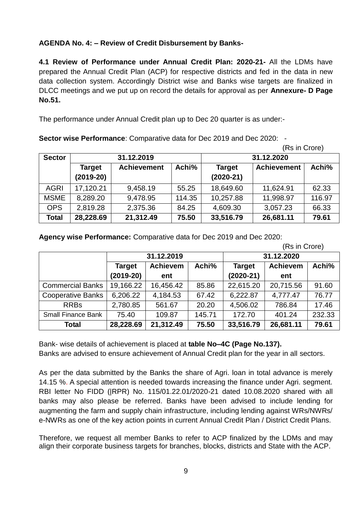# **AGENDA No. 4: – Review of Credit Disbursement by Banks-**

**4.1 Review of Performance under Annual Credit Plan: 2020-21-** All the LDMs have prepared the Annual Credit Plan (ACP) for respective districts and fed in the data in new data collection system. Accordingly District wise and Banks wise targets are finalized in DLCC meetings and we put up on record the details for approval as per **Annexure- D Page No.51.**

The performance under Annual Credit plan up to Dec 20 quarter is as under:-

**Sector wise Performance**: Comparative data for Dec 2019 and Dec 2020: -

(Rs in Crore)

| <b>Sector</b> | 31.12.2019                   |                    |        | 31.12.2020                   |                    |        |  |
|---------------|------------------------------|--------------------|--------|------------------------------|--------------------|--------|--|
|               | <b>Target</b><br>$(2019-20)$ | <b>Achievement</b> | Achi%  | <b>Target</b><br>$(2020-21)$ | <b>Achievement</b> | Achi%  |  |
| <b>AGRI</b>   | 17,120.21                    | 9,458.19           | 55.25  | 18,649.60                    | 11,624.91          | 62.33  |  |
| <b>MSME</b>   | 8,289.20                     | 9,478.95           | 114.35 | 10,257.88                    | 11,998.97          | 116.97 |  |
| <b>OPS</b>    | 2,819.28                     | 2,375.36           | 84.25  | 4,609.30                     | 3,057.23           | 66.33  |  |
| <b>Total</b>  | 28,228.69                    | 21,312.49          | 75.50  | 33,516.79                    | 26,681.11          | 79.61  |  |

**Agency wise Performance:** Comparative data for Dec 2019 and Dec 2020:

|                           |               |                          |        |               | (Rs in Crore)   |        |  |
|---------------------------|---------------|--------------------------|--------|---------------|-----------------|--------|--|
|                           |               | 31.12.2019               |        |               | 31.12.2020      |        |  |
|                           | <b>Target</b> | <b>Achievem</b><br>Achi% |        | <b>Target</b> | <b>Achievem</b> | Achi%  |  |
|                           | $(2019-20)$   | ent                      |        | $(2020-21)$   | ent             |        |  |
| <b>Commercial Banks</b>   | 19,166.22     | 16,456.42                | 85.86  | 22,615.20     | 20,715.56       | 91.60  |  |
| <b>Cooperative Banks</b>  | 6,206.22      | 4,184.53                 | 67.42  | 6,222.87      | 4,777.47        | 76.77  |  |
| <b>RRBs</b>               | 2,780.85      | 561.67                   | 20.20  | 4,506.02      | 786.84          | 17.46  |  |
| <b>Small Finance Bank</b> | 75.40         | 109.87                   | 145.71 | 172.70        | 401.24          | 232.33 |  |
| <b>Total</b>              | 28,228.69     | 21,312.49                | 75.50  | 33,516.79     | 26,681.11       | 79.61  |  |

Bank- wise details of achievement is placed at **table No–4C (Page No.137).** Banks are advised to ensure achievement of Annual Credit plan for the year in all sectors.

As per the data submitted by the Banks the share of Agri. loan in total advance is merely 14.15 %. A special attention is needed towards increasing the finance under Agri. segment. RBI letter No FIDD (|RPR) No. 115/01.22.01/2020-21 dated 10.08.2020 shared with all banks may also please be referred. Banks have been advised to include lending for augmenting the farm and supply chain infrastructure, including lending against WRs/NWRs/ e-NWRs as one of the key action points in current Annual Credit Plan / District Credit Plans.

Therefore, we request all member Banks to refer to ACP finalized by the LDMs and may align their corporate business targets for branches, blocks, districts and State with the ACP.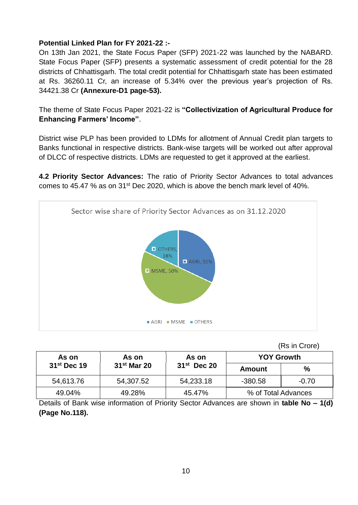### **Potential Linked Plan for FY 2021-22 :-**

On 13th Jan 2021, the State Focus Paper (SFP) 2021-22 was launched by the NABARD. State Focus Paper (SFP) presents a systematic assessment of credit potential for the 28 districts of Chhattisgarh. The total credit potential for Chhattisgarh state has been estimated at Rs. 36260.11 Cr, an increase of 5.34% over the previous year's projection of Rs. 34421.38 Cr **(Annexure-D1 page-53).**

The theme of State Focus Paper 2021-22 is **"Collectivization of Agricultural Produce for Enhancing Farmers' Income''**.

District wise PLP has been provided to LDMs for allotment of Annual Credit plan targets to Banks functional in respective districts. Bank-wise targets will be worked out after approval of DLCC of respective districts. LDMs are requested to get it approved at the earliest.

**4.2 Priority Sector Advances:** The ratio of Priority Sector Advances to total advances comes to 45.47 % as on 31<sup>st</sup> Dec 2020, which is above the bench mark level of 40%.



(Rs in Crore)

| As on         | As on         | As on         | <b>YOY Growth</b>   |         |
|---------------|---------------|---------------|---------------------|---------|
| $31st$ Dec 19 | $31st$ Mar 20 | $31st$ Dec 20 | Amount              | %       |
| 54,613.76     | 54,307.52     | 54,233.18     | $-380.58$           | $-0.70$ |
| 49.04%        | 49.28%        | 45.47%        | % of Total Advances |         |

Details of Bank wise information of Priority Sector Advances are shown in **table No – 1(d) (Page No.118).**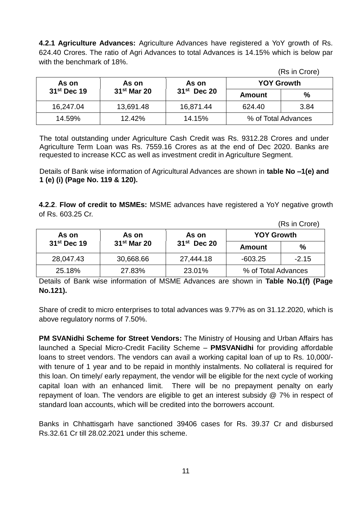**4.2.1 Agriculture Advances:** Agriculture Advances have registered a YoY growth of Rs. 624.40 Crores. The ratio of Agri Advances to total Advances is 14.15% which is below par with the benchmark of 18%.

(Rs in Crore)

(Rs in Crore)

| As on         | As on                   | As on         | <b>YOY Growth</b>   |      |
|---------------|-------------------------|---------------|---------------------|------|
| $31st$ Dec 19 | 31 <sup>st</sup> Mar 20 | $31st$ Dec 20 | Amount              | %    |
| 16,247.04     | 13,691.48               | 16,871.44     | 624.40              | 3.84 |
| 14.59%        | 12.42%                  | 14.15%        | % of Total Advances |      |

The total outstanding under Agriculture Cash Credit was Rs. 9312.28 Crores and under Agriculture Term Loan was Rs. 7559.16 Crores as at the end of Dec 2020. Banks are requested to increase KCC as well as investment credit in Agriculture Segment.

Details of Bank wise information of Agricultural Advances are shown in **table No –1(e) and 1 (e) (i) (Page No. 119 & 120).**

**4.2.2**. **Flow of credit to MSMEs:** MSME advances have registered a YoY negative growth of Rs. 603.25 Cr.

|                |               |               |                     | 1119 111 VIVIV |
|----------------|---------------|---------------|---------------------|----------------|
| As on<br>As on |               | As on         | <b>YOY Growth</b>   |                |
| $31st$ Dec 19  | $31st$ Mar 20 | $31st$ Dec 20 | <b>Amount</b>       | %              |
| 28,047.43      | 30,668.66     | 27,444.18     | $-603.25$           | $-2.15$        |
| 25.18%         | 27.83%        | 23.01%        | % of Total Advances |                |

Details of Bank wise information of MSME Advances are shown in **Table No.1(f) (Page No.121).**

Share of credit to micro enterprises to total advances was 9.77% as on 31.12.2020, which is above regulatory norms of 7.50%.

**PM SVANidhi Scheme for Street Vendors:** The Ministry of Housing and Urban Affairs has launched a Special Micro-Credit Facility Scheme – **PMSVANidhi** for providing affordable loans to street vendors. The vendors can avail a working capital loan of up to Rs. 10,000/ with tenure of 1 year and to be repaid in monthly instalments. No collateral is required for this loan. On timely/ early repayment, the vendor will be eligible for the next cycle of working capital loan with an enhanced limit. There will be no prepayment penalty on early repayment of loan. The vendors are eligible to get an interest subsidy @ 7% in respect of standard loan accounts, which will be credited into the borrowers account.

Banks in Chhattisgarh have sanctioned 39406 cases for Rs. 39.37 Cr and disbursed Rs.32.61 Cr till 28.02.2021 under this scheme.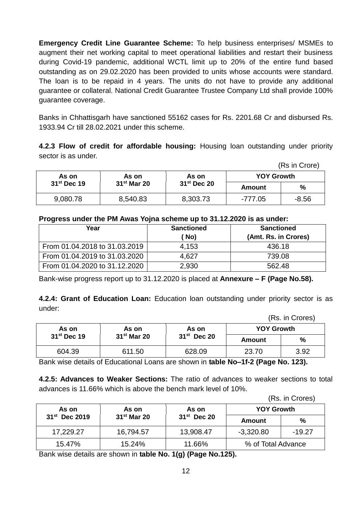**Emergency Credit Line Guarantee Scheme:** To help business enterprises/ MSMEs to augment their net working capital to meet operational liabilities and restart their business during Covid-19 pandemic, additional WCTL limit up to 20% of the entire fund based outstanding as on 29.02.2020 has been provided to units whose accounts were standard. The loan is to be repaid in 4 years. The units do not have to provide any additional guarantee or collateral. National Credit Guarantee Trustee Company Ltd shall provide 100% guarantee coverage.

Banks in Chhattisgarh have sanctioned 55162 cases for Rs. 2201.68 Cr and disbursed Rs. 1933.94 Cr till 28.02.2021 under this scheme.

**4.2.3 Flow of credit for affordable housing:** Housing loan outstanding under priority sector is as under.

(Rs in Crore)

| As on         | As on         | As on                   | <b>YOY Growth</b> |         |
|---------------|---------------|-------------------------|-------------------|---------|
| $31st$ Dec 19 | $31st$ Mar 20 | 31 <sup>st</sup> Dec 20 | Amount            | %       |
| 9,080.78      | 8,540.83      | 8,303.73                | $-777.05$         | $-8.56$ |

#### **Progress under the PM Awas Yojna scheme up to 31.12.2020 is as under:**

| ~<br>Year                     | <b>Sanctioned</b><br>(No) | <b>Sanctioned</b><br>(Amt. Rs. in Crores) |
|-------------------------------|---------------------------|-------------------------------------------|
| From 01.04.2018 to 31.03.2019 | 4.153                     | 436.18                                    |
| From 01.04.2019 to 31.03.2020 | 4.627                     | 739.08                                    |
| From 01.04.2020 to 31.12.2020 | 2,930                     | 562.48                                    |

Bank-wise progress report up to 31.12.2020 is placed at **Annexure – F (Page No.58).**

**4.2.4: Grant of Education Loan:** Education loan outstanding under priority sector is as under:

(Rs. in Crores)

| As on                   | As on         | As on         | <b>YOY Growth</b> |      |
|-------------------------|---------------|---------------|-------------------|------|
| 31 <sup>st</sup> Dec 19 | $31st$ Mar 20 | $31st$ Dec 20 | Amount            | %    |
| 604.39                  | 611.50        | 628.09        | 23.70             | 3.92 |

Bank wise details of Educational Loans are shown in **table No–1f-2 (Page No. 123).**

**4.2.5: Advances to Weaker Sections:** The ratio of advances to weaker sections to total advances is 11.66% which is above the bench mark level of 10%.

(Rs. in Crores)

| As on                     | As on                   | As on         | <b>YOY Growth</b>  |               |
|---------------------------|-------------------------|---------------|--------------------|---------------|
| 31 <sup>st</sup> Dec 2019 | 31 <sup>st</sup> Mar 20 | $31st$ Dec 20 | Amount             | $\frac{0}{0}$ |
| 17,229.27                 | 16,794.57               | 13,908.47     | $-3,320.80$        | -19.27        |
| 15.47%                    | 15.24%                  | 11.66%        | % of Total Advance |               |

Bank wise details are shown in **table No. 1(g) (Page No.125).**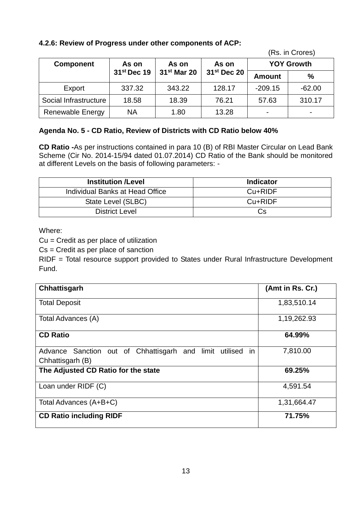### **4.2.6: Review of Progress under other components of ACP:**

| <b>Component</b>        | As on                   | As on                   | As on                   |               | <b>YOY Growth</b> |  |  |
|-------------------------|-------------------------|-------------------------|-------------------------|---------------|-------------------|--|--|
|                         | 31 <sup>st</sup> Dec 19 | 31 <sup>st</sup> Mar 20 | 31 <sup>st</sup> Dec 20 | <b>Amount</b> | %                 |  |  |
| Export                  | 337.32                  | 343.22                  | 128.17                  | $-209.15$     | $-62.00$          |  |  |
| Social Infrastructure   | 18.58                   | 18.39                   | 76.21                   | 57.63         | 310.17            |  |  |
| <b>Renewable Energy</b> | NA                      | 1.80                    | 13.28                   |               |                   |  |  |

(Rs. in Crores)

# **Agenda No. 5 - CD Ratio, Review of Districts with CD Ratio below 40%**

**CD Ratio -**As per instructions contained in para 10 (B) of RBI Master Circular on Lead Bank Scheme (Cir No. 2014-15/94 dated 01.07.2014) CD Ratio of the Bank should be monitored at different Levels on the basis of following parameters: -

| <b>Institution /Level</b>       | <b>Indicator</b> |
|---------------------------------|------------------|
| Individual Banks at Head Office | Cu+RIDF          |
| State Level (SLBC)              | Cu+RIDF          |
| <b>District Level</b>           | Cs               |

Where:

Cu = Credit as per place of utilization

Cs = Credit as per place of sanction

RIDF = Total resource support provided to States under Rural Infrastructure Development Fund.

| Chhattisgarh                                                  | (Amt in Rs. Cr.) |
|---------------------------------------------------------------|------------------|
| <b>Total Deposit</b>                                          | 1,83,510.14      |
| Total Advances (A)                                            | 1,19,262.93      |
| <b>CD Ratio</b>                                               | 64.99%           |
| Advance Sanction out of Chhattisgarh and limit utilised<br>in | 7,810.00         |
| Chhattisgarh (B)                                              |                  |
| The Adjusted CD Ratio for the state                           | 69.25%           |
| Loan under RIDF (C)                                           | 4,591.54         |
| Total Advances (A+B+C)                                        | 1,31,664.47      |
| <b>CD Ratio including RIDF</b>                                | 71.75%           |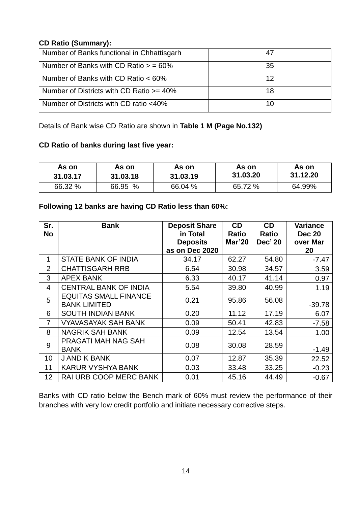## **CD Ratio (Summary):**

| Number of Banks functional in Chhattisgarh  |    |
|---------------------------------------------|----|
| Number of Banks with CD Ratio $>$ = 60%     | 35 |
| Number of Banks with CD Ratio < 60%         | 12 |
| Number of Districts with CD Ratio $>= 40\%$ | 18 |
| Number of Districts with CD ratio <40%      |    |

Details of Bank wise CD Ratio are shown in **Table 1 M (Page No.132)**

### **CD Ratio of banks during last five year:**

| As on    | As on    | As on    | As on    | As on    |
|----------|----------|----------|----------|----------|
| 31.03.17 | 31.03.18 | 31.03.19 | 31.03.20 | 31.12.20 |
| 66.32 %  | 66.95 %  | 66.04 %  | 65.72 %  | 64.99%   |

### **Following 12 banks are having CD Ratio less than 60%:**

| Sr.<br>No      | <b>Bank</b>                                         | <b>Deposit Share</b><br>in Total | CD<br><b>Ratio</b> | CD<br><b>Ratio</b> | Variance<br><b>Dec 20</b> |
|----------------|-----------------------------------------------------|----------------------------------|--------------------|--------------------|---------------------------|
|                |                                                     | <b>Deposits</b>                  | Mar'20             | <b>Dec' 20</b>     | over Mar                  |
|                |                                                     | as on Dec 2020                   |                    |                    | 20                        |
| $\mathbf{1}$   | <b>STATE BANK OF INDIA</b>                          | 34.17                            | 62.27              | 54.80              | $-7.47$                   |
| $\overline{2}$ | <b>CHATTISGARH RRB</b>                              | 6.54                             | 30.98              | 34.57              | 3.59                      |
| 3              | <b>APEX BANK</b>                                    | 6.33                             | 40.17              | 41.14              | 0.97                      |
| 4              | <b>CENTRAL BANK OF INDIA</b>                        | 5.54                             | 39.80              | 40.99              | 1.19                      |
| 5              | <b>EQUITAS SMALL FINANCE</b><br><b>BANK LIMITED</b> | 0.21                             | 95.86              | 56.08              | $-39.78$                  |
| 6              | <b>SOUTH INDIAN BANK</b>                            | 0.20                             | 11.12              | 17.19              | 6.07                      |
| $\overline{7}$ | <b>VYAVASAYAK SAH BANK</b>                          | 0.09                             | 50.41              | 42.83              | $-7.58$                   |
| 8              | <b>NAGRIK SAH BANK</b>                              | 0.09                             | 12.54              | 13.54              | 1.00                      |
| 9              | PRAGATI MAH NAG SAH<br><b>BANK</b>                  | 0.08                             | 30.08              | 28.59              | $-1.49$                   |
| 10             | <b>JAND K BANK</b>                                  | 0.07                             | 12.87              | 35.39              | 22.52                     |
| 11             | <b>KARUR VYSHYA BANK</b>                            | 0.03                             | 33.48              | 33.25              | $-0.23$                   |
| 12             | <b>RAI URB COOP MERC BANK</b>                       | 0.01                             | 45.16              | 44.49              | $-0.67$                   |

Banks with CD ratio below the Bench mark of 60% must review the performance of their branches with very low credit portfolio and initiate necessary corrective steps.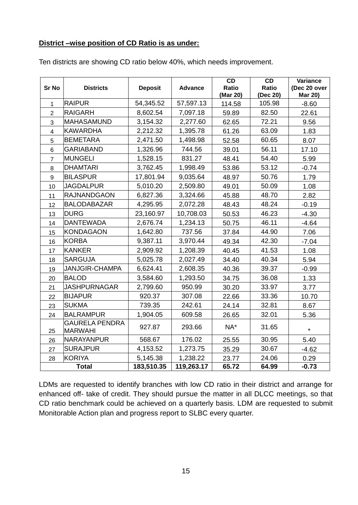#### **District –wise position of CD Ratio is as under:**

| <b>Sr No</b>            | <b>Districts</b>                        | <b>Deposit</b> | <b>Advance</b> | CD<br>Ratio<br>(Mar 20) | CD<br>Ratio<br>(Dec 20) | Variance<br>(Dec 20 over<br><b>Mar 20)</b> |
|-------------------------|-----------------------------------------|----------------|----------------|-------------------------|-------------------------|--------------------------------------------|
| 1                       | <b>RAIPUR</b>                           | 54,345.52      | 57,597.13      | 114.58                  | 105.98                  | $-8.60$                                    |
| $\overline{2}$          | <b>RAIGARH</b>                          | 8,602.54       | 7,097.18       | 59.89                   | 82.50                   | 22.61                                      |
| 3                       | MAHASAMUND                              | 3,154.32       | 2,277.60       | 62.65                   | 72.21                   | 9.56                                       |
| $\overline{\mathbf{4}}$ | <b>KAWARDHA</b>                         | 2,212.32       | 1,395.78       | 61.26                   | 63.09                   | 1.83                                       |
| 5                       | <b>BEMETARA</b>                         | 2,471.50       | 1,498.98       | 52.58                   | 60.65                   | 8.07                                       |
| 6                       | <b>GARIABAND</b>                        | 1,326.96       | 744.56         | 39.01                   | 56.11                   | 17.10                                      |
| $\overline{7}$          | <b>MUNGELI</b>                          | 1,528.15       | 831.27         | 48.41                   | 54.40                   | 5.99                                       |
| 8                       | <b>DHAMTARI</b>                         | 3,762.45       | 1,998.49       | 53.86                   | 53.12                   | $-0.74$                                    |
| 9                       | <b>BILASPUR</b>                         | 17,801.94      | 9,035.64       | 48.97                   | 50.76                   | 1.79                                       |
| 10                      | <b>JAGDALPUR</b>                        | 5,010.20       | 2,509.80       | 49.01                   | 50.09                   | 1.08                                       |
| 11                      | <b>RAJNANDGAON</b>                      | 6,827.36       | 3,324.66       | 45.88                   | 48.70                   | 2.82                                       |
| 12                      | <b>BALODABAZAR</b>                      | 4,295.95       | 2,072.28       | 48.43                   | 48.24                   | $-0.19$                                    |
| 13                      | <b>DURG</b>                             | 23,160.97      | 10,708.03      | 50.53                   | 46.23                   | $-4.30$                                    |
| 14                      | <b>DANTEWADA</b>                        | 2,676.74       | 1,234.13       | 50.75                   | 46.11                   | $-4.64$                                    |
| 15                      | <b>KONDAGAON</b>                        | 1,642.80       | 737.56         | 37.84                   | 44.90                   | 7.06                                       |
| 16                      | <b>KORBA</b>                            | 9,387.11       | 3,970.44       | 49.34                   | 42.30                   | $-7.04$                                    |
| 17                      | <b>KANKER</b>                           | 2,909.92       | 1,208.39       | 40.45                   | 41.53                   | 1.08                                       |
| 18                      | <b>SARGUJA</b>                          | 5,025.78       | 2,027.49       | 34.40                   | 40.34                   | 5.94                                       |
| 19                      | <b>JANJGIR-CHAMPA</b>                   | 6,624.41       | 2,608.35       | 40.36                   | 39.37                   | $-0.99$                                    |
| 20                      | <b>BALOD</b>                            | 3,584.60       | 1,293.50       | 34.75                   | 36.08                   | 1.33                                       |
| 21                      | <b>JASHPURNAGAR</b>                     | 2,799.60       | 950.99         | 30.20                   | 33.97                   | 3.77                                       |
| 22                      | <b>BIJAPUR</b>                          | 920.37         | 307.08         | 22.66                   | 33.36                   | 10.70                                      |
| 23                      | <b>SUKMA</b>                            | 739.35         | 242.61         | 24.14                   | 32.81                   | 8.67                                       |
| 24                      | <b>BALRAMPUR</b>                        | 1,904.05       | 609.58         | 26.65                   | 32.01                   | 5.36                                       |
| 25                      | <b>GAURELA PENDRA</b><br><b>MARWAHI</b> | 927.87         | 293.66         | $NA^*$                  | 31.65                   | $\star$                                    |
| 26                      | NARAYANPUR                              | 568.67         | 176.02         | 25.55                   | 30.95                   | 5.40                                       |
| 27                      | <b>SURAJPUR</b>                         | 4,153.52       | 1,273.75       | 35.29                   | 30.67                   | $-4.62$                                    |
| 28                      | <b>KORIYA</b>                           | 5,145.38       | 1,238.22       | 23.77                   | 24.06                   | 0.29                                       |
|                         | <b>Total</b>                            | 183,510.35     | 119,263.17     | 65.72                   | 64.99                   | $-0.73$                                    |

Ten districts are showing CD ratio below 40%, which needs improvement.

LDMs are requested to identify branches with low CD ratio in their district and arrange for enhanced off- take of credit. They should pursue the matter in all DLCC meetings, so that CD ratio benchmark could be achieved on a quarterly basis. LDM are requested to submit Monitorable Action plan and progress report to SLBC every quarter.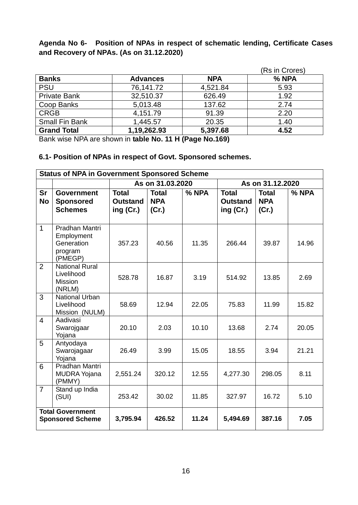**Agenda No 6- Position of NPAs in respect of schematic lending, Certificate Cases and Recovery of NPAs. (As on 31.12.2020)**

|                       |                 |            | (Rs in Crores) |
|-----------------------|-----------------|------------|----------------|
| <b>Banks</b>          | <b>Advances</b> | <b>NPA</b> | % NPA          |
| <b>PSU</b>            | 76,141.72       | 4,521.84   | 5.93           |
| <b>Private Bank</b>   | 32,510.37       | 626.49     | 1.92           |
| Coop Banks            | 5,013.48        | 137.62     | 2.74           |
| <b>CRGB</b>           | 4,151.79        | 91.39      | 2.20           |
| <b>Small Fin Bank</b> | 1,445.57        | 20.35      | 1.40           |
| <b>Grand Total</b>    | 1,19,262.93     | 5,397.68   | 4.52           |

Bank wise NPA are shown in **table No. 11 H (Page No.169)**

### **6.1- Position of NPAs in respect of Govt. Sponsored schemes.**

|                                                    | <b>Status of NPA in Government Sponsored Scheme</b>              |                                                |                                     |       |                                              |                                     |       |  |  |  |  |  |
|----------------------------------------------------|------------------------------------------------------------------|------------------------------------------------|-------------------------------------|-------|----------------------------------------------|-------------------------------------|-------|--|--|--|--|--|
|                                                    |                                                                  |                                                | As on 31.03.2020                    |       |                                              | As on 31.12.2020                    |       |  |  |  |  |  |
| <b>Sr</b><br><b>No</b>                             | <b>Government</b><br><b>Sponsored</b><br><b>Schemes</b>          | <b>Total</b><br><b>Outstand</b><br>ing $(Cr.)$ | <b>Total</b><br><b>NPA</b><br>(Cr.) | % NPA | <b>Total</b><br><b>Outstand</b><br>ing (Cr.) | <b>Total</b><br><b>NPA</b><br>(Cr.) | % NPA |  |  |  |  |  |
| $\overline{1}$                                     | Pradhan Mantri<br>Employment<br>Generation<br>program<br>(PMEGP) | 357.23                                         | 40.56                               | 11.35 | 266.44                                       | 39.87                               | 14.96 |  |  |  |  |  |
| $\overline{2}$                                     | <b>National Rural</b><br>Livelihood<br><b>Mission</b><br>(NRLM)  | 528.78                                         | 16.87                               | 3.19  | 514.92                                       | 13.85                               | 2.69  |  |  |  |  |  |
| 3                                                  | <b>National Urban</b><br>Livelihood<br>Mission (NULM)            | 58.69                                          | 12.94                               | 22.05 | 75.83                                        | 11.99                               | 15.82 |  |  |  |  |  |
| $\overline{4}$                                     | Aadivasi<br>Swarojgaar<br>Yojana                                 | 20.10                                          | 2.03                                | 10.10 | 13.68                                        | 2.74                                | 20.05 |  |  |  |  |  |
| 5                                                  | Antyodaya<br>Swarojagaar<br>Yojana                               | 26.49                                          | 3.99                                | 15.05 | 18.55                                        | 3.94                                | 21.21 |  |  |  |  |  |
| 6                                                  | Pradhan Mantri<br><b>MUDRA Yojana</b><br>(PMMY)                  | 2,551.24                                       | 320.12                              | 12.55 | 4,277.30                                     | 298.05                              | 8.11  |  |  |  |  |  |
| $\overline{7}$                                     | Stand up India<br>(SUI)                                          | 253.42                                         | 30.02                               | 11.85 | 327.97                                       | 16.72                               | 5.10  |  |  |  |  |  |
| <b>Total Government</b><br><b>Sponsored Scheme</b> |                                                                  | 3,795.94                                       | 426.52                              | 11.24 | 5,494.69                                     | 387.16                              | 7.05  |  |  |  |  |  |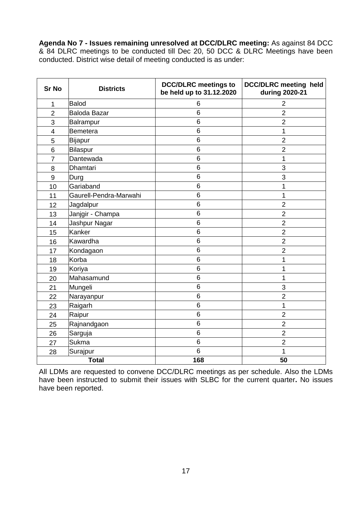**Agenda No 7 - Issues remaining unresolved at DCC/DLRC meeting:** As against 84 DCC & 84 DLRC meetings to be conducted till Dec 20, 50 DCC & DLRC Meetings have been conducted. District wise detail of meeting conducted is as under:

| <b>Sr No</b>   | <b>Districts</b>       | <b>DCC/DLRC</b> meetings to<br>be held up to 31.12.2020 | <b>DCC/DLRC</b> meeting held<br>during 2020-21 |
|----------------|------------------------|---------------------------------------------------------|------------------------------------------------|
| 1              | <b>Balod</b>           | 6                                                       | 2                                              |
| $\overline{2}$ | <b>Baloda Bazar</b>    | 6                                                       | $\overline{2}$                                 |
| 3              | Balrampur              | 6                                                       | $\overline{2}$                                 |
| 4              | Bemetera               | 6                                                       | 1                                              |
| 5              | Bijapur                | 6                                                       | $\overline{2}$                                 |
| 6              | Bilaspur               | 6                                                       | $\overline{2}$                                 |
| $\overline{7}$ | Dantewada              | 6                                                       | 1                                              |
| 8              | Dhamtari               | 6                                                       | 3                                              |
| 9              | Durg                   | 6                                                       | 3                                              |
| 10             | Gariaband              | 6                                                       | 1                                              |
| 11             | Gaurell-Pendra-Marwahi | 6                                                       | 1                                              |
| 12             | Jagdalpur              | 6                                                       | $\overline{2}$                                 |
| 13             | Janjgir - Champa       | 6                                                       | $\overline{2}$                                 |
| 14             | Jashpur Nagar          | 6                                                       | $\overline{2}$                                 |
| 15             | Kanker                 | 6                                                       | $\overline{2}$                                 |
| 16             | Kawardha               | 6                                                       | $\overline{2}$                                 |
| 17             | Kondagaon              | 6                                                       | $\overline{2}$                                 |
| 18             | Korba                  | 6                                                       | 1                                              |
| 19             | Koriya                 | 6                                                       | 1                                              |
| 20             | Mahasamund             | 6                                                       | 1                                              |
| 21             | Mungeli                | 6                                                       | 3                                              |
| 22             | Narayanpur             | 6                                                       | $\overline{2}$                                 |
| 23             | Raigarh                | 6                                                       | 1                                              |
| 24             | Raipur                 | 6                                                       | $\overline{2}$                                 |
| 25             | Rajnandgaon            | 6                                                       | $\overline{2}$                                 |
| 26             | Sarguja                | 6                                                       | $\overline{2}$                                 |
| 27             | Sukma                  | 6                                                       | $\overline{2}$                                 |
| 28             | Surajpur               | 6                                                       | 1                                              |
|                | <b>Total</b>           | 168                                                     | 50                                             |

All LDMs are requested to convene DCC/DLRC meetings as per schedule. Also the LDMs have been instructed to submit their issues with SLBC for the current quarter**.** No issues have been reported.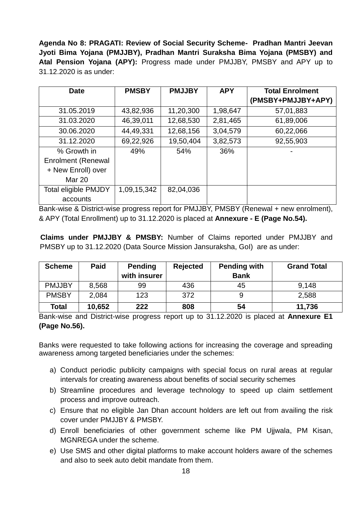**Agenda No 8: PRAGATI: Review of Social Security Scheme- Pradhan Mantri Jeevan Jyoti Bima Yojana (PMJJBY), Pradhan Mantri Suraksha Bima Yojana (PMSBY) and Atal Pension Yojana (APY):** Progress made under PMJJBY, PMSBY and APY up to 31.12.2020 is as under:

| <b>Date</b>                 | <b>PMSBY</b> | <b>PMJJBY</b> | <b>APY</b> | <b>Total Enrolment</b> |
|-----------------------------|--------------|---------------|------------|------------------------|
|                             |              |               |            | (PMSBY+PMJJBY+APY)     |
| 31.05.2019                  | 43,82,936    | 11,20,300     | 1,98,647   | 57,01,883              |
| 31.03.2020                  | 46,39,011    | 12,68,530     | 2,81,465   | 61,89,006              |
| 30.06.2020                  | 44,49,331    | 12,68,156     | 3,04,579   | 60,22,066              |
| 31.12.2020                  | 69,22,926    | 19,50,404     | 3,82,573   | 92,55,903              |
| % Growth in                 | 49%          | 54%           | 36%        |                        |
| <b>Enrolment (Renewal</b>   |              |               |            |                        |
| + New Enroll) over          |              |               |            |                        |
| <b>Mar 20</b>               |              |               |            |                        |
| <b>Total eligible PMJDY</b> | 1,09,15,342  | 82,04,036     |            |                        |
| accounts                    |              |               |            |                        |

Bank-wise & District-wise progress report for PMJJBY, PMSBY (Renewal + new enrolment), & APY (Total Enrollment) up to 31.12.2020 is placed at **Annexure - E (Page No.54).**

**Claims under PMJJBY & PMSBY:** Number of Claims reported under PMJJBY and PMSBY up to 31.12.2020 (Data Source Mission Jansuraksha, GoI) are as under:

| <b>Scheme</b> | Paid   | <b>Pending</b> | <b>Rejected</b> | <b>Pending with</b> | <b>Grand Total</b> |
|---------------|--------|----------------|-----------------|---------------------|--------------------|
|               |        | with insurer   |                 | <b>Bank</b>         |                    |
| <b>PMJJBY</b> | 8,568  | 99             | 436             | 45                  | 9,148              |
| <b>PMSBY</b>  | 2,084  | 123            | 372             |                     | 2,588              |
| Total         | 10,652 | 222            | 808             | 54                  | 11,736             |

Bank-wise and District-wise progress report up to 31.12.2020 is placed at **Annexure E1 (Page No.56).**

Banks were requested to take following actions for increasing the coverage and spreading awareness among targeted beneficiaries under the schemes:

- a) Conduct periodic publicity campaigns with special focus on rural areas at regular intervals for creating awareness about benefits of social security schemes
- b) Streamline procedures and leverage technology to speed up claim settlement process and improve outreach.
- c) Ensure that no eligible Jan Dhan account holders are left out from availing the risk cover under PMJJBY & PMSBY.
- d) Enroll beneficiaries of other government scheme like PM Ujjwala, PM Kisan, MGNREGA under the scheme.
- e) Use SMS and other digital platforms to make account holders aware of the schemes and also to seek auto debit mandate from them.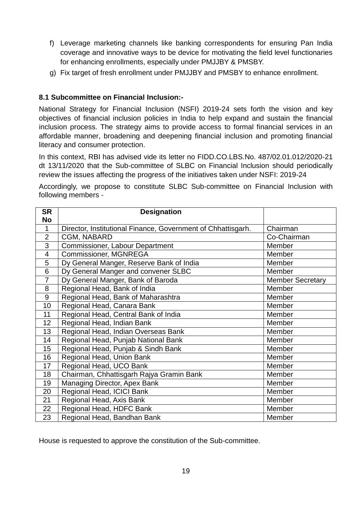- f) Leverage marketing channels like banking correspondents for ensuring Pan India coverage and innovative ways to be device for motivating the field level functionaries for enhancing enrollments, especially under PMJJBY & PMSBY.
- g) Fix target of fresh enrollment under PMJJBY and PMSBY to enhance enrollment.

### **8.1 Subcommittee on Financial Inclusion:-**

National Strategy for Financial Inclusion (NSFI) 2019-24 sets forth the vision and key objectives of financial inclusion policies in India to help expand and sustain the financial inclusion process. The strategy aims to provide access to formal financial services in an affordable manner, broadening and deepening financial inclusion and promoting financial literacy and consumer protection.

In this context, RBI has advised vide its letter no FIDD.CO.LBS.No. 487/02.01.012/2020-21 dt 13/11/2020 that the Sub-committee of SLBC on Financial Inclusion should periodically review the issues affecting the progress of the initiatives taken under NSFI: 2019-24

Accordingly, we propose to constitute SLBC Sub-committee on Financial Inclusion with following members -

| <b>SR</b>      | <b>Designation</b>                                           |                         |
|----------------|--------------------------------------------------------------|-------------------------|
| <b>No</b>      |                                                              |                         |
| $\mathbf{1}$   | Director, Institutional Finance, Government of Chhattisgarh. | Chairman                |
| $\overline{2}$ | <b>CGM, NABARD</b>                                           | Co-Chairman             |
| 3              | Commissioner, Labour Department                              | Member                  |
| $\overline{4}$ | Commissioner, MGNREGA                                        | Member                  |
| 5              | Dy General Manger, Reserve Bank of India                     | Member                  |
| 6              | Dy General Manger and convener SLBC                          | Member                  |
| $\overline{7}$ | Dy General Manger, Bank of Baroda                            | <b>Member Secretary</b> |
| 8              | Regional Head, Bank of India                                 | Member                  |
| 9              | Regional Head, Bank of Maharashtra                           | Member                  |
| 10             | Regional Head, Canara Bank                                   | Member                  |
| 11             | Regional Head, Central Bank of India                         | Member                  |
| 12             | Regional Head, Indian Bank                                   | Member                  |
| 13             | Regional Head, Indian Overseas Bank                          | Member                  |
| 14             | Regional Head, Punjab National Bank                          | Member                  |
| 15             | Regional Head, Punjab & Sindh Bank                           | Member                  |
| 16             | Regional Head, Union Bank                                    | Member                  |
| 17             | Regional Head, UCO Bank                                      | Member                  |
| 18             | Chairman, Chhattisgarh Rajya Gramin Bank                     | Member                  |
| 19             | Managing Director, Apex Bank                                 | Member                  |
| 20             | Regional Head, ICICI Bank                                    | Member                  |
| 21             | Regional Head, Axis Bank                                     | Member                  |
| 22             | Regional Head, HDFC Bank                                     | Member                  |
| 23             | Regional Head, Bandhan Bank                                  | Member                  |

House is requested to approve the constitution of the Sub-committee.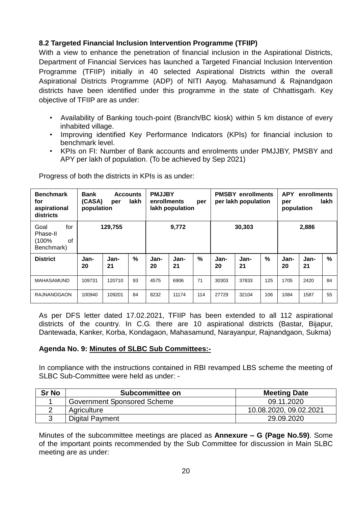# **8.2 Targeted Financial Inclusion Intervention Programme (TFIIP)**

With a view to enhance the penetration of financial inclusion in the Aspirational Districts, Department of Financial Services has launched a Targeted Financial Inclusion Intervention Programme (TFIIP) initially in 40 selected Aspirational Districts within the overall Aspirational Districts Programme (ADP) of NITI Aayog. Mahasamund & Rajnandgaon districts have been identified under this programme in the state of Chhattisgarh. Key objective of TFIIP are as under:

- Availability of Banking touch-point (Branch/BC kiosk) within 5 km distance of every inhabited village.
- Improving identified Key Performance Indicators (KPIs) for financial inclusion to benchmark level.
- KPIs on FI: Number of Bank accounts and enrolments under PMJJBY, PMSBY and APY per lakh of population. (To be achieved by Sep 2021)

| <b>Benchmark</b><br>for<br>aspirational<br>districts | <b>Bank</b><br><b>Accounts</b><br>(CASA)<br>lakh<br>per<br>population |            |       | <b>PMJJBY</b><br>enrollments<br>per<br>lakh population |            | <b>PMSBY</b><br>enrollments<br>per lakh population |            | <b>APY</b><br>per<br>population | enrollments   | lakh       |            |               |
|------------------------------------------------------|-----------------------------------------------------------------------|------------|-------|--------------------------------------------------------|------------|----------------------------------------------------|------------|---------------------------------|---------------|------------|------------|---------------|
| Goal<br>for<br>Phase-II<br>(100%<br>of<br>Benchmark) | 129,755                                                               |            | 9,772 |                                                        | 30,303     |                                                    |            | 2,886                           |               |            |            |               |
| <b>District</b>                                      | Jan-<br>20                                                            | Jan-<br>21 | %     | Jan-<br>20                                             | Jan-<br>21 | $\%$                                               | Jan-<br>20 | Jan-<br>21                      | $\frac{9}{6}$ | Jan-<br>20 | Jan-<br>21 | $\frac{0}{0}$ |
| <b>MAHASAMUND</b>                                    | 109731                                                                | 120710     | 93    | 4575                                                   | 6906       | 71                                                 | 30303      | 37833                           | 125           | 1705       | 2420       | 84            |
| <b>RAJNANDGAON</b>                                   | 100940                                                                | 109201     | 84    | 8232                                                   | 11174      | 114                                                | 27729      | 32104                           | 106           | 1084       | 1587       | 55            |

Progress of both the districts in KPIs is as under:

As per DFS letter dated 17.02.2021, TFIIP has been extended to all 112 aspirational districts of the country. In C.G. there are 10 aspirational districts (Bastar, Bijapur, Dantewada, Kanker, Korba, Kondagaon, Mahasamund, Narayanpur, Rajnandgaon, Sukma)

#### **Agenda No. 9: Minutes of SLBC Sub Committees:-**

In compliance with the instructions contained in RBI revamped LBS scheme the meeting of SLBC Sub-Committee were held as under: -

| <b>Sr No</b> | Subcommittee on             | <b>Meeting Date</b>    |
|--------------|-----------------------------|------------------------|
|              | Government Sponsored Scheme | 09.11.2020             |
|              | Agriculture                 | 10.08.2020, 09.02.2021 |
|              | Digital Payment             | 29.09.2020             |

Minutes of the subcommittee meetings are placed as **Annexure – G (Page No.59)**. Some of the important points recommended by the Sub Committee for discussion in Main SLBC meeting are as under: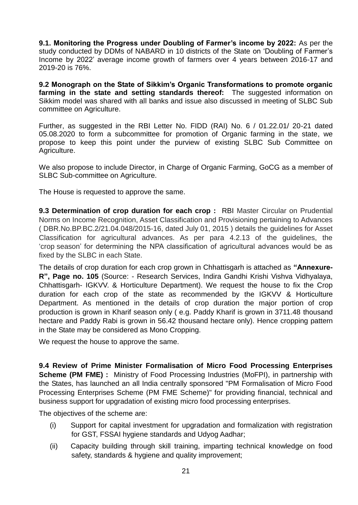**9.1. Monitoring the Progress under Doubling of Farmer's income by 2022:** As per the study conducted by DDMs of NABARD in 10 districts of the State on 'Doubling of Farmer's Income by 2022' average income growth of farmers over 4 years between 2016-17 and 2019-20 is 76%.

**9.2 Monograph on the State of Sikkim's Organic Transformations to promote organic farming in the state and setting standards thereof:** The suggested information on Sikkim model was shared with all banks and issue also discussed in meeting of SLBC Sub committee on Agriculture.

Further, as suggested in the RBI Letter No. FIDD (RAI) No. 6 / 01.22.01/ 20-21 dated 05.08.2020 to form a subcommittee for promotion of Organic farming in the state, we propose to keep this point under the purview of existing SLBC Sub Committee on Agriculture.

We also propose to include Director, in Charge of Organic Farming, GoCG as a member of SLBC Sub-committee on Agriculture.

The House is requested to approve the same.

**9.3 Determination of crop duration for each crop :** RBI Master Circular on Prudential Norms on Income Recognition, Asset Classification and Provisioning pertaining to Advances ( DBR.No.BP.BC.2/21.04.048/2015-16, dated July 01, 2015 ) details the guidelines for Asset Classification for agricultural advances. As per para 4.2.13 of the guidelines, the 'crop season' for determining the NPA classification of agricultural advances would be as fixed by the SLBC in each State.

The details of crop duration for each crop grown in Chhattisgarh is attached as **"Annexure-R", Page no. 105** (Source: - Research Services, Indira Gandhi Krishi Vishva Vidhyalaya, Chhattisgarh- IGKVV. & Horticulture Department). We request the house to fix the Crop duration for each crop of the state as recommended by the IGKVV & Horticulture Department. As mentioned in the details of crop duration the major portion of crop production is grown in Kharif season only ( e.g. Paddy Kharif is grown in 3711.48 thousand hectare and Paddy Rabi is grown in 56.42 thousand hectare only). Hence cropping pattern in the State may be considered as Mono Cropping.

We request the house to approve the same.

**9.4 Review of Prime Minister Formalisation of Micro Food Processing Enterprises Scheme (PM FME) :** Ministry of Food Processing Industries (MoFPI), in partnership with the States, has launched an all India centrally sponsored "PM Formalisation of Micro Food Processing Enterprises Scheme (PM FME Scheme)" for providing financial, technical and business support for upgradation of existing micro food processing enterprises.

The objectives of the scheme are:

- (i) Support for capital investment for upgradation and formalization with registration for GST, FSSAI hygiene standards and Udyog Aadhar;
- (ii) Capacity building through skill training, imparting technical knowledge on food safety, standards & hygiene and quality improvement;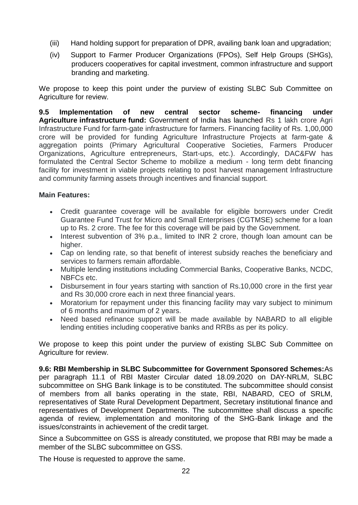- (iii) Hand holding support for preparation of DPR, availing bank loan and upgradation;
- (iv) Support to Farmer Producer Organizations (FPOs), Self Help Groups (SHGs), producers cooperatives for capital investment, common infrastructure and support branding and marketing.

We propose to keep this point under the purview of existing SLBC Sub Committee on Agriculture for review.

**9.5 Implementation of new central sector scheme- financing under Agriculture infrastructure fund:** Government of India has launched Rs 1 lakh crore Agri Infrastructure Fund for farm-gate infrastructure for farmers. Financing facility of Rs. 1,00,000 crore will be provided for funding Agriculture Infrastructure Projects at farm-gate & aggregation points (Primary Agricultural Cooperative Societies, Farmers Producer Organizations, Agriculture entrepreneurs, Start-ups, etc.). Accordingly, DAC&FW has formulated the Central Sector Scheme to mobilize a medium - long term debt financing facility for investment in viable projects relating to post harvest management Infrastructure and community farming assets through incentives and financial support.

#### **Main Features:**

- Credit guarantee coverage will be available for eligible borrowers under Credit Guarantee Fund Trust for Micro and Small Enterprises (CGTMSE) scheme for a loan up to Rs. 2 crore. The fee for this coverage will be paid by the Government.
- Interest subvention of 3% p.a., limited to INR 2 crore, though loan amount can be higher.
- Cap on lending rate, so that benefit of interest subsidy reaches the beneficiary and services to farmers remain affordable.
- Multiple lending institutions including Commercial Banks, Cooperative Banks, NCDC, NBFCs etc.
- Disbursement in four years starting with sanction of Rs.10,000 crore in the first year and Rs 30,000 crore each in next three financial years.
- Moratorium for repayment under this financing facility may vary subject to minimum of 6 months and maximum of 2 years.
- Need based refinance support will be made available by NABARD to all eligible lending entities including cooperative banks and RRBs as per its policy.

We propose to keep this point under the purview of existing SLBC Sub Committee on Agriculture for review.

**9.6: RBI Membership in SLBC Subcommittee for Government Sponsored Schemes:**As per paragraph 11.1 of RBI Master Circular dated 18.09.2020 on DAY-NRLM, SLBC subcommittee on SHG Bank linkage is to be constituted. The subcommittee should consist of members from all banks operating in the state, RBI, NABARD, CEO of SRLM, representatives of State Rural Development Department, Secretary institutional finance and representatives of Development Departments. The subcommittee shall discuss a specific agenda of review, implementation and monitoring of the SHG-Bank linkage and the issues/constraints in achievement of the credit target.

Since a Subcommittee on GSS is already constituted, we propose that RBI may be made a member of the SLBC subcommittee on GSS.

The House is requested to approve the same.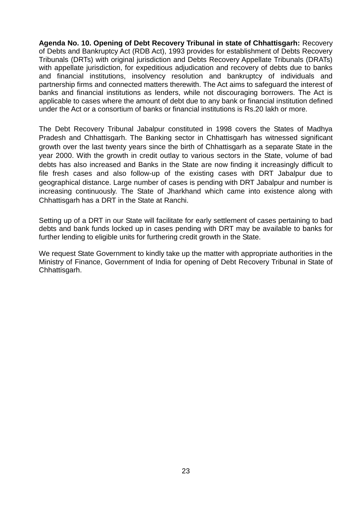**Agenda No. 10. Opening of Debt Recovery Tribunal in state of Chhattisgarh:** Recovery of Debts and Bankruptcy Act (RDB Act), 1993 provides for establishment of Debts Recovery Tribunals (DRTs) with original jurisdiction and Debts Recovery Appellate Tribunals (DRATs) with appellate jurisdiction, for expeditious adjudication and recovery of debts due to banks and financial institutions, insolvency resolution and bankruptcy of individuals and partnership firms and connected matters therewith. The Act aims to safeguard the interest of banks and financial institutions as lenders, while not discouraging borrowers. The Act is applicable to cases where the amount of debt due to any bank or financial institution defined under the Act or a consortium of banks or financial institutions is Rs.20 lakh or more.

The Debt Recovery Tribunal Jabalpur constituted in 1998 covers the States of Madhya Pradesh and Chhattisgarh. The Banking sector in Chhattisgarh has witnessed significant growth over the last twenty years since the birth of Chhattisgarh as a separate State in the year 2000. With the growth in credit outlay to various sectors in the State, volume of bad debts has also increased and Banks in the State are now finding it increasingly difficult to file fresh cases and also follow-up of the existing cases with DRT Jabalpur due to geographical distance. Large number of cases is pending with DRT Jabalpur and number is increasing continuously. The State of Jharkhand which came into existence along with Chhattisgarh has a DRT in the State at Ranchi.

Setting up of a DRT in our State will facilitate for early settlement of cases pertaining to bad debts and bank funds locked up in cases pending with DRT may be available to banks for further lending to eligible units for furthering credit growth in the State.

We request State Government to kindly take up the matter with appropriate authorities in the Ministry of Finance, Government of India for opening of Debt Recovery Tribunal in State of Chhattisgarh.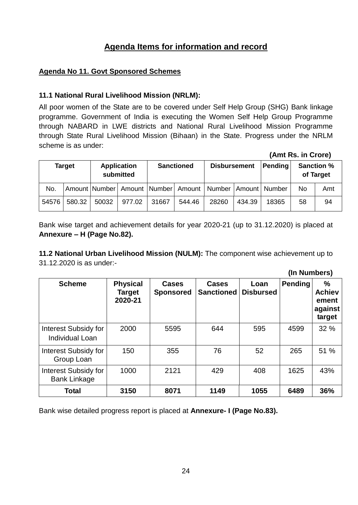# **Agenda Items for information and record**

#### **Agenda No 11. Govt Sponsored Schemes**

#### **11.1 National Rural Livelihood Mission (NRLM):**

All poor women of the State are to be covered under Self Help Group (SHG) Bank linkage programme. Government of India is executing the Women Self Help Group Programme through NABARD in LWE districts and National Rural Livelihood Mission Programme through State Rural Livelihood Mission (Bihaan) in the State. Progress under the NRLM scheme is as under:

**(Amt Rs. in Crore)**

**(In Numbers)**

|       | <b>Target</b> |       | <b>Application</b><br>submitted          |       | <b>Sanctioned</b> |        | Pending<br><b>Disbursement</b> |                 | <b>Sanction %</b><br>of Target |     |
|-------|---------------|-------|------------------------------------------|-------|-------------------|--------|--------------------------------|-----------------|--------------------------------|-----|
| No.   |               |       | Amount Number   Amount   Number   Amount |       |                   | Number |                                | Amount   Number | No.                            | Amt |
| 54576 | 580.32        | 50032 | 977.02                                   | 31667 | 544.46            | 28260  | 434.39                         | 18365           | 58                             | 94  |

Bank wise target and achievement details for year 2020-21 (up to 31.12.2020) is placed at **Annexure – H (Page No.82).**

**11.2 National Urban Livelihood Mission (NULM):** The component wise achievement up to 31.12.2020 is as under:-

| <b>Scheme</b>                                  | <b>Physical</b><br><b>Target</b><br>2020-21 | <b>Cases</b><br><b>Sponsored</b> | <b>Cases</b><br><b>Sanctioned</b> | Loan<br><b>Disbursed</b> | <b>Pending</b> | $\%$<br><b>Achiev</b><br>ement<br>against<br>target |
|------------------------------------------------|---------------------------------------------|----------------------------------|-----------------------------------|--------------------------|----------------|-----------------------------------------------------|
| Interest Subsidy for<br><b>Individual Loan</b> | 2000                                        | 5595                             | 644                               | 595                      | 4599           | 32 %                                                |
| Interest Subsidy for<br>Group Loan             | 150                                         | 355                              | 76                                | 52                       | 265            | 51 %                                                |
| Interest Subsidy for<br><b>Bank Linkage</b>    | 1000                                        | 2121                             | 429                               | 408                      | 1625           | 43%                                                 |
| Total                                          | 3150                                        | 8071                             | 1149                              | 1055                     | 6489           | 36%                                                 |

Bank wise detailed progress report is placed at **Annexure- I (Page No.83).**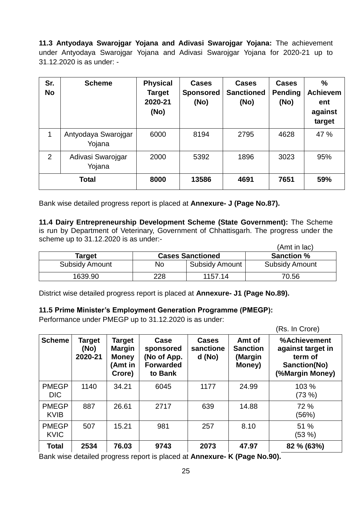**11.3 Antyodaya Swarojgar Yojana and Adivasi Swarojgar Yojana:** The achievement under Antyodaya Swarojgar Yojana and Adivasi Swarojgar Yojana for 2020-21 up to 31.12.2020 is as under: -

| Sr.<br><b>No</b> | <b>Scheme</b>                 | <b>Physical</b><br><b>Target</b><br>2020-21<br>(No) | <b>Cases</b><br><b>Sponsored</b><br>(No) | <b>Cases</b><br><b>Sanctioned</b><br>(No) | <b>Cases</b><br><b>Pending</b><br>(No) | $\frac{0}{0}$<br><b>Achievem</b><br>ent<br>against<br>target |
|------------------|-------------------------------|-----------------------------------------------------|------------------------------------------|-------------------------------------------|----------------------------------------|--------------------------------------------------------------|
| 1                | Antyodaya Swarojgar<br>Yojana | 6000                                                | 8194                                     | 2795                                      | 4628                                   | 47 %                                                         |
| 2                | Adivasi Swarojgar<br>Yojana   | 2000                                                | 5392                                     | 1896                                      | 3023                                   | 95%                                                          |
|                  | Total                         | 8000                                                | 13586                                    | 4691                                      | 7651                                   | 59%                                                          |

Bank wise detailed progress report is placed at **Annexure- J (Page No.87).**

**11.4 Dairy Entrepreneurship Development Scheme (State Government):** The Scheme is run by Department of Veterinary, Government of Chhattisgarh. The progress under the scheme up to 31.12.2020 is as under:-  $\lambda$  and  $\lambda$  in lack  $\lambda$ 

|                       |     |                         | (Amt in lac)          |
|-----------------------|-----|-------------------------|-----------------------|
| Target                |     | <b>Cases Sanctioned</b> | <b>Sanction %</b>     |
| <b>Subsidy Amount</b> | No  | Subsidy Amount          | <b>Subsidy Amount</b> |
| 1639.90               | 228 | 1157.14                 | 70.56                 |

District wise detailed progress report is placed at **Annexure- J1 (Page No.89).**

#### **11.5 Prime Minister's Employment Generation Programme (PMEGP):**

Performance under PMEGP up to 31.12.2020 is as under:

|                             |                                  |                                                                     |                                                                 |                                     |                                                | (Rs. In Crore)                                                                  |
|-----------------------------|----------------------------------|---------------------------------------------------------------------|-----------------------------------------------------------------|-------------------------------------|------------------------------------------------|---------------------------------------------------------------------------------|
| <b>Scheme</b>               | <b>Target</b><br>(No)<br>2020-21 | <b>Target</b><br><b>Margin</b><br><b>Money</b><br>(Amt in<br>Crore) | Case<br>sponsored<br>(No of App.<br><b>Forwarded</b><br>to Bank | <b>Cases</b><br>sanctione<br>d (No) | Amt of<br><b>Sanction</b><br>(Margin<br>Money) | %Achievement<br>against target in<br>term of<br>Sanction(No)<br>(%Margin Money) |
| <b>PMEGP</b><br><b>DIC</b>  | 1140                             | 34.21                                                               | 6045                                                            | 1177                                | 24.99                                          | 103 %<br>(73%)                                                                  |
| <b>PMEGP</b><br><b>KVIB</b> | 887                              | 26.61                                                               | 2717                                                            | 639                                 | 14.88                                          | 72 %<br>(56%)                                                                   |
| <b>PMEGP</b><br><b>KVIC</b> | 507                              | 15.21                                                               | 981                                                             | 257                                 | 8.10                                           | 51 %<br>(53%)                                                                   |
| <b>Total</b>                | 2534                             | 76.03                                                               | 9743                                                            | 2073                                | 47.97                                          | 82 % (63%)                                                                      |

Bank wise detailed progress report is placed at **Annexure- K (Page No.90).**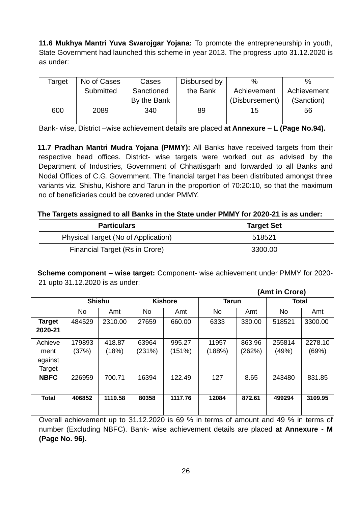**11.6 Mukhya Mantri Yuva Swarojgar Yojana:** To promote the entrepreneurship in youth, State Government had launched this scheme in year 2013. The progress upto 31.12.2020 is as under:

| Target | No of Cases | Cases       | Disbursed by | $\%$           | %           |
|--------|-------------|-------------|--------------|----------------|-------------|
|        | Submitted   | Sanctioned  | the Bank     | Achievement    | Achievement |
|        |             | By the Bank |              | (Disbursement) | (Sanction)  |
| 600    | 2089        | 340         | 89           | 15             | 56          |
|        |             |             |              |                |             |

Bank- wise, District –wise achievement details are placed **at Annexure – L (Page No.94).**

**11.7 Pradhan Mantri Mudra Yojana (PMMY):** All Banks have received targets from their respective head offices. District- wise targets were worked out as advised by the Department of Industries, Government of Chhattisgarh and forwarded to all Banks and Nodal Offices of C.G. Government. The financial target has been distributed amongst three variants viz. Shishu, Kishore and Tarun in the proportion of 70:20:10, so that the maximum no of beneficiaries could be covered under PMMY.

#### **The Targets assigned to all Banks in the State under PMMY for 2020-21 is as under:**

| <b>Particulars</b>                  | <b>Target Set</b> |
|-------------------------------------|-------------------|
| Physical Target (No of Application) | 518521            |
| Financial Target (Rs in Crore)      | 3300.00           |

**Scheme component – wise target:** Component- wise achievement under PMMY for 2020- 21 upto 31.12.2020 is as under:

|               |           |               |           |                |              |        | (Amt in Crore) |         |
|---------------|-----------|---------------|-----------|----------------|--------------|--------|----------------|---------|
|               |           | <b>Shishu</b> |           | <b>Kishore</b> | <b>Tarun</b> |        | Total          |         |
|               | <b>No</b> | Amt           | <b>No</b> | Amt            | No           | Amt    | No             | Amt     |
| <b>Target</b> | 484529    | 2310.00       | 27659     | 660.00         | 6333         | 330.00 | 518521         | 3300.00 |
| 2020-21       |           |               |           |                |              |        |                |         |
| Achieve       | 179893    | 418.87        | 63964     | 995.27         | 11957        | 863.96 | 255814         | 2278.10 |
| ment          | (37%)     | (18%)         | (231%)    | (151%)         | (188%)       | (262%) | (49%)          | (69%)   |
| against       |           |               |           |                |              |        |                |         |
| Target        |           |               |           |                |              |        |                |         |
| <b>NBFC</b>   | 226959    | 700.71        | 16394     | 122.49         | 127          | 8.65   | 243480         | 831.85  |
|               |           |               |           |                |              |        |                |         |
| <b>Total</b>  | 406852    | 1119.58       | 80358     | 1117.76        | 12084        | 872.61 | 499294         | 3109.95 |
|               |           |               |           |                |              |        |                |         |

Overall achievement up to 31.12.2020 is 69 % in terms of amount and 49 % in terms of number (Excluding NBFC). Bank- wise achievement details are placed **at Annexure - M (Page No. 96).**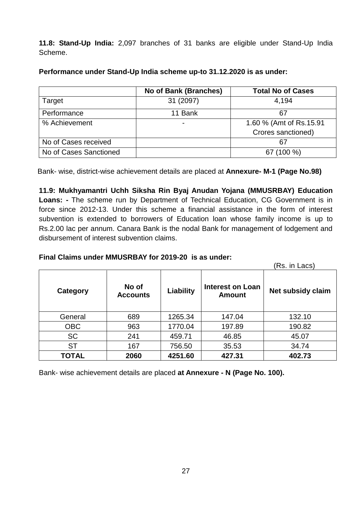**11.8: Stand-Up India:** 2,097 branches of 31 banks are eligible under Stand-Up India Scheme.

|                        | No of Bank (Branches)    | <b>Total No of Cases</b> |
|------------------------|--------------------------|--------------------------|
| Target                 | 31 (2097)                | 4,194                    |
| Performance            | 11 Bank                  | 67                       |
| % Achievement          | $\overline{\phantom{a}}$ | 1.60 % (Amt of Rs.15.91) |
|                        |                          | Crores sanctioned)       |
| No of Cases received   |                          | 67                       |
| No of Cases Sanctioned |                          | 67 (100 %)               |

**Performance under Stand-Up India scheme up-to 31.12.2020 is as under:**

Bank- wise, district-wise achievement details are placed at **Annexure- M-1 (Page No.98)**

**11.9: Mukhyamantri Uchh Siksha Rin Byaj Anudan Yojana (MMUSRBAY) Education Loans: -** The scheme run by Department of Technical Education, CG Government is in force since 2012-13. Under this scheme a financial assistance in the form of interest subvention is extended to borrowers of Education loan whose family income is up to Rs.2.00 lac per annum. Canara Bank is the nodal Bank for management of lodgement and disbursement of interest subvention claims.

### **Final Claims under MMUSRBAY for 2019-20 is as under:**

(Rs. in Lacs)

|            |                          |           |                                          | ו הסגווו במט             |
|------------|--------------------------|-----------|------------------------------------------|--------------------------|
| Category   | No of<br><b>Accounts</b> | Liability | <b>Interest on Loan</b><br><b>Amount</b> | <b>Net subsidy claim</b> |
| General    | 689                      | 1265.34   | 147.04                                   | 132.10                   |
| <b>OBC</b> | 963                      | 1770.04   | 197.89                                   | 190.82                   |
| <b>SC</b>  | 241                      | 459.71    | 46.85                                    | 45.07                    |
| <b>ST</b>  | 167                      | 756.50    | 35.53                                    | 34.74                    |
| TOTAL      | 2060                     | 4251.60   | 427.31                                   | 402.73                   |

Bank- wise achievement details are placed **at Annexure - N (Page No. 100).**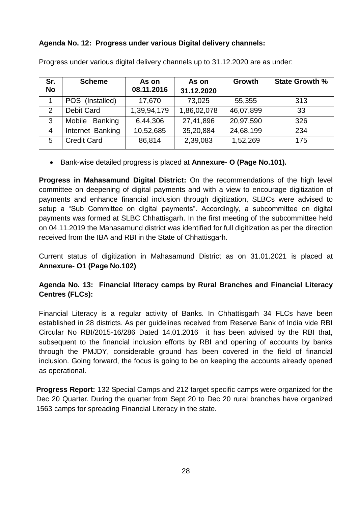### **Agenda No. 12: Progress under various Digital delivery channels:**

| Sr.<br><b>No</b> | <b>Scheme</b>      | As on<br>08.11.2016 | As on<br>31.12.2020 | Growth    | <b>State Growth %</b> |
|------------------|--------------------|---------------------|---------------------|-----------|-----------------------|
|                  | POS (Installed)    | 17,670              | 73,025              | 55,355    | 313                   |
| 2                | Debit Card         | 1,39,94,179         | 1,86,02,078         | 46,07,899 | 33                    |
| 3                | Mobile Banking     | 6,44,306            | 27,41,896           | 20,97,590 | 326                   |
| $\overline{4}$   | Internet Banking   | 10,52,685           | 35,20,884           | 24,68,199 | 234                   |
| 5                | <b>Credit Card</b> | 86,814              | 2,39,083            | 1,52,269  | 175                   |

Progress under various digital delivery channels up to 31.12.2020 are as under:

Bank-wise detailed progress is placed at **Annexure- O (Page No.101).**

**Progress in Mahasamund Digital District:** On the recommendations of the high level committee on deepening of digital payments and with a view to encourage digitization of payments and enhance financial inclusion through digitization, SLBCs were advised to setup a "Sub Committee on digital payments". Accordingly, a subcommittee on digital payments was formed at SLBC Chhattisgarh. In the first meeting of the subcommittee held on 04.11.2019 the Mahasamund district was identified for full digitization as per the direction received from the IBA and RBI in the State of Chhattisgarh.

Current status of digitization in Mahasamund District as on 31.01.2021 is placed at **Annexure- O1 (Page No.102)**

**Agenda No. 13: Financial literacy camps by Rural Branches and Financial Literacy Centres (FLCs):**

Financial Literacy is a regular activity of Banks. In Chhattisgarh 34 FLCs have been established in 28 districts. As per guidelines received from Reserve Bank of India vide RBI Circular No RBI/2015-16/286 Dated 14.01.2016 it has been advised by the RBI that, subsequent to the financial inclusion efforts by RBI and opening of accounts by banks through the PMJDY, considerable ground has been covered in the field of financial inclusion. Going forward, the focus is going to be on keeping the accounts already opened as operational.

**Progress Report:** 132 Special Camps and 212 target specific camps were organized for the Dec 20 Quarter. During the quarter from Sept 20 to Dec 20 rural branches have organized 1563 camps for spreading Financial Literacy in the state.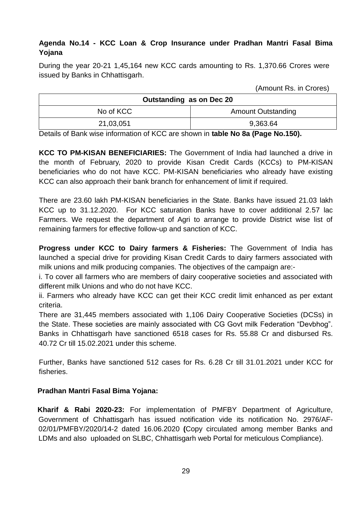# **Agenda No.14 - KCC Loan & Crop Insurance under Pradhan Mantri Fasal Bima Yojana**

During the year 20-21 1,45,164 new KCC cards amounting to Rs. 1,370.66 Crores were issued by Banks in Chhattisgarh.

(Amount Rs. in Crores)

| Outstanding as on Dec 20 |                           |  |  |
|--------------------------|---------------------------|--|--|
| No of KCC                | <b>Amount Outstanding</b> |  |  |
| 21,03,051                | 9,363.64                  |  |  |

Details of Bank wise information of KCC are shown in **table No 8a (Page No.150).**

**KCC TO PM-KISAN BENEFICIARIES:** The Government of India had launched a drive in the month of February, 2020 to provide Kisan Credit Cards (KCCs) to PM-KISAN beneficiaries who do not have KCC. PM-KISAN beneficiaries who already have existing KCC can also approach their bank branch for enhancement of limit if required.

There are 23.60 lakh PM-KISAN beneficiaries in the State. Banks have issued 21.03 lakh KCC up to 31.12.2020. For KCC saturation Banks have to cover additional 2.57 lac Farmers. We request the department of Agri to arrange to provide District wise list of remaining farmers for effective follow-up and sanction of KCC.

**Progress under KCC to Dairy farmers & Fisheries:** The Government of India has launched a special drive for providing Kisan Credit Cards to dairy farmers associated with milk unions and milk producing companies. The objectives of the campaign are:-

i. To cover all farmers who are members of dairy cooperative societies and associated with different milk Unions and who do not have KCC.

ii. Farmers who already have KCC can get their KCC credit limit enhanced as per extant criteria.

There are 31,445 members associated with 1,106 Dairy Cooperative Societies (DCSs) in the State. These societies are mainly associated with CG Govt milk Federation "Devbhog". Banks in Chhattisgarh have sanctioned 6518 cases for Rs. 55.88 Cr and disbursed Rs. 40.72 Cr till 15.02.2021 under this scheme.

Further, Banks have sanctioned 512 cases for Rs. 6.28 Cr till 31.01.2021 under KCC for fisheries.

### **Pradhan Mantri Fasal Bima Yojana:**

**Kharif & Rabi 2020-23:** For implementation of PMFBY Department of Agriculture, Government of Chhattisgarh has issued notification vide its notification No. 2976/AF-02/01/PMFBY/2020/14-2 dated 16.06.2020 **(**Copy circulated among member Banks and LDMs and also uploaded on SLBC, Chhattisgarh web Portal for meticulous Compliance).